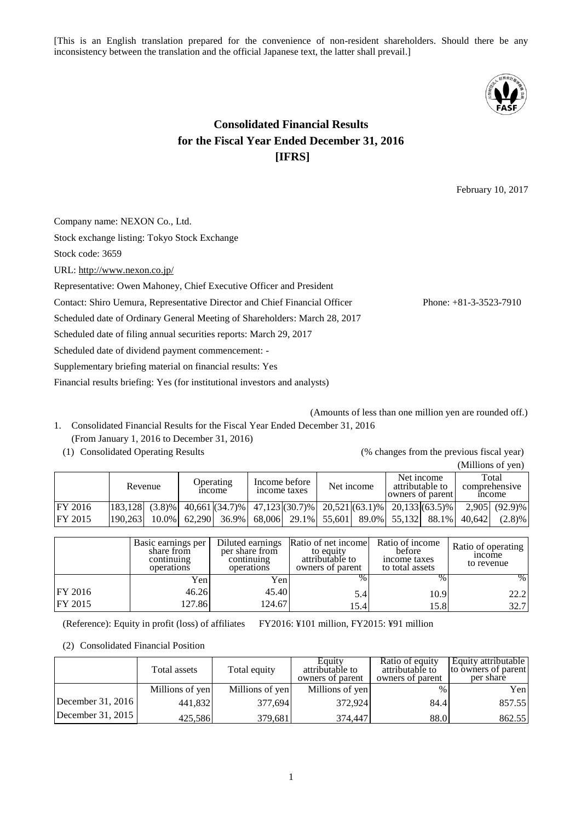[This is an English translation prepared for the convenience of non-resident shareholders. Should there be any inconsistency between the translation and the official Japanese text, the latter shall prevail.]



# **Consolidated Financial Results for the Fiscal Year Ended December 31, 2016 [IFRS]**

February 10, 2017

Company name: NEXON Co., Ltd. Stock exchange listing: Tokyo Stock Exchange Stock code: 3659 URL: <http://www.nexon.co.jp/> Representative: Owen Mahoney, Chief Executive Officer and President Contact: Shiro Uemura, Representative Director and Chief Financial Officer Phone: +81-3-3523-7910 Scheduled date of Ordinary General Meeting of Shareholders: March 28, 2017 Scheduled date of filing annual securities reports: March 29, 2017 Scheduled date of dividend payment commencement: - Supplementary briefing material on financial results: Yes

Financial results briefing: Yes (for institutional investors and analysts)

- (Amounts of less than one million yen are rounded off.) 1. Consolidated Financial Results for the Fiscal Year Ended December 31, 2016 (From January 1, 2016 to December 31, 2016)
	-

(1) Consolidated Operating Results (% changes from the previous fiscal year)

|                |         |            |                                                                         |  |            |  |                                                   |  |  |                                              | (Millions of yen) |
|----------------|---------|------------|-------------------------------------------------------------------------|--|------------|--|---------------------------------------------------|--|--|----------------------------------------------|-------------------|
|                | Revenue |            | Income before<br><b>Operating</b><br>income taxes<br><sub>1</sub> ncome |  | Net income |  | Net income<br>attributable to<br>owners of parent |  |  | Total<br>comprehensive<br><sub>1</sub> ncome |                   |
| <b>FY 2016</b> | 183.128 | $(3.8) \%$ | $40,661$ (34.7)% 47,123(30.7)% 20,521(63.1)% 20,133(63.5)%              |  |            |  |                                                   |  |  |                                              | 2.905 (92.9)%     |
| <b>FY 2015</b> | 190.263 | $10.0\%$   | $62,290$ 36.9% 68,006 29.1% 55,601 89.0% 55,132 88.1%                   |  |            |  |                                                   |  |  | 40.642                                       | (2.8)%            |

|         | Basic earnings per<br>share from<br>continuing<br>operations | Diluted earnings<br>per share from<br>continuing<br>operations | Ratio of net income<br>to equity<br>attributable to<br>owners of parent | Ratio of income<br>before<br>income taxes<br>to total assets | Ratio of operating<br><sub>1</sub> ncome<br>to revenue |
|---------|--------------------------------------------------------------|----------------------------------------------------------------|-------------------------------------------------------------------------|--------------------------------------------------------------|--------------------------------------------------------|
|         | Yen                                                          | Yenl                                                           | $\%$                                                                    | %                                                            | %                                                      |
| FY 2016 | 46.26                                                        | 45.40                                                          | 5.4                                                                     | 10.9                                                         | 22.2                                                   |
| FY 2015 | 127.86                                                       | 124.67                                                         | 15.4                                                                    | 15.8                                                         | 32.7                                                   |

(Reference): Equity in profit (loss) of affiliates FY2016: ¥101 million, FY2015: ¥91 million

(2) Consolidated Financial Position

|                   | Total assets    | Total equity    | Equity<br>attributable to<br>owners of parent | Ratio of equity<br>attributable to<br>owners of parent | Equity attributable<br>to owners of parent<br>per share |
|-------------------|-----------------|-----------------|-----------------------------------------------|--------------------------------------------------------|---------------------------------------------------------|
|                   | Millions of yen | Millions of yen | Millions of yen                               | $\%$                                                   | Yen                                                     |
| December 31, 2016 | 441,832         | 377,694         | 372,924                                       | 84.4                                                   | 857.55                                                  |
| December 31, 2015 | 425,586         | 379,681         | 374,447                                       | 88.0                                                   | 862.55                                                  |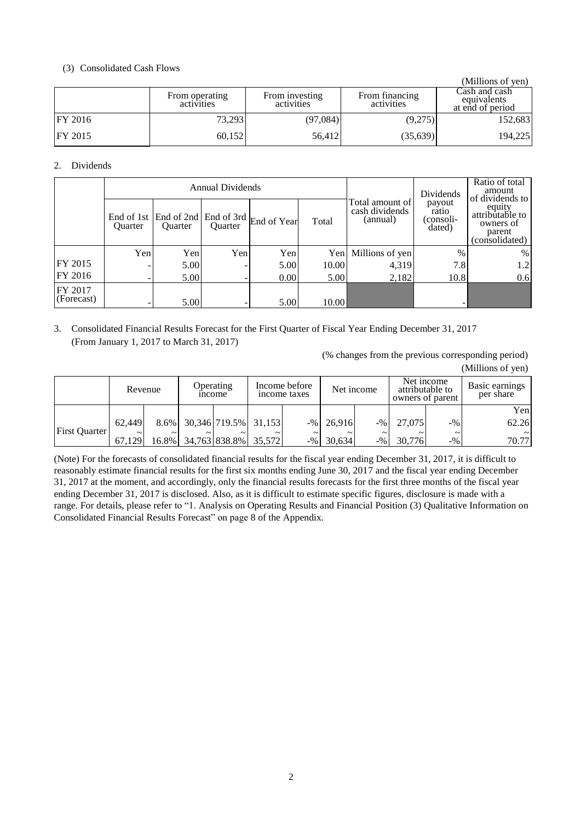# (3) Consolidated Cash Flows

|                |                              |                              |                              | (Millions of yen)                                |
|----------------|------------------------------|------------------------------|------------------------------|--------------------------------------------------|
|                | From operating<br>activities | From investing<br>activities | From financing<br>activities | Cash and cash<br>equivalents<br>at end of period |
| <b>FY 2016</b> | 73,293                       | (97,084)                     | (9,275)                      | 152,683                                          |
| <b>FY 2015</b> | 60,152                       | 56,412                       | (35,639)                     | 194,225                                          |

# 2. Dividends

|                       |                |                                             | <b>Annual Dividends</b> |                        | Dividends | Ratio of total<br>amount                      |                                        |                                                                                       |  |
|-----------------------|----------------|---------------------------------------------|-------------------------|------------------------|-----------|-----------------------------------------------|----------------------------------------|---------------------------------------------------------------------------------------|--|
|                       | <b>Ouarter</b> | End of 1st   End of 2nd  <br><b>Ouarter</b> | <b>Ouarter</b>          | End of 3rd End of Year | Total     | Total amount of<br>cash dividends<br>(annual) | payout<br>ratio<br>(consoli-<br>dated) | of dividends to<br>equity<br>attributable to<br>owners of<br>parent<br>(consolidated) |  |
|                       | Yen            | Yen                                         | Yen                     | Yen                    | Yen       | Millions of yen                               | $\frac{0}{0}$                          | %                                                                                     |  |
| FY 2015               |                | 5.00                                        |                         | 5.00                   | 10.00     | 4,319                                         | 7.8                                    | 1.2                                                                                   |  |
| FY 2016               |                | 5.00                                        |                         | 0.00                   | 5.00      | 2,182                                         | 10.8                                   | 0.6                                                                                   |  |
| FY 2017<br>(Forecast) |                | 5.00                                        |                         | 5.00                   | 10.00     |                                               |                                        |                                                                                       |  |

3. Consolidated Financial Results Forecast for the First Quarter of Fiscal Year Ending December 31, 2017 (From January 1, 2017 to March 31, 2017)

> (% changes from the previous corresponding period) (Millions of yen)

|                      | Revenue    |        |            | Income before<br>Operating<br>income taxes<br><sub>1</sub> ncome |            | Net income |             | Net income<br>attributable to<br>owners of parent |            | Basic earnings<br>per share |        |
|----------------------|------------|--------|------------|------------------------------------------------------------------|------------|------------|-------------|---------------------------------------------------|------------|-----------------------------|--------|
|                      |            |        |            |                                                                  |            |            |             |                                                   |            |                             | Yen    |
| <b>First Quarter</b> | 62.449     |        |            | 8.6% 30,346 719.5% 31,153                                        |            |            | $-%126.916$ | $-9/0$                                            | 27,075     | $-9/0$                      | 62.26  |
|                      | $\tilde{}$ | $\sim$ | $\tilde{}$ | $\tilde{}$                                                       | $\tilde{}$ | $\sim$     | $\sim$      | $\sim$                                            | $\tilde{}$ | $\tilde{}$                  | $\sim$ |
|                      | 67.129     |        |            | 16.8% 34,763 838.8% 35,572                                       |            |            | $-%$ 30,634 | $-$ %                                             | 30.776     | $-9/0$                      | 70.77  |

(Note) For the forecasts of consolidated financial results for the fiscal year ending December 31, 2017, it is difficult to reasonably estimate financial results for the first six months ending June 30, 2017 and the fiscal year ending December 31, 2017 at the moment, and accordingly, only the financial results forecasts for the first three months of the fiscal year ending December 31, 2017 is disclosed. Also, as it is difficult to estimate specific figures, disclosure is made with a range. For details, please refer to "1. Analysis on Operating Results and Financial Position (3) Qualitative Information on Consolidated Financial Results Forecast" on page 8 of the Appendix.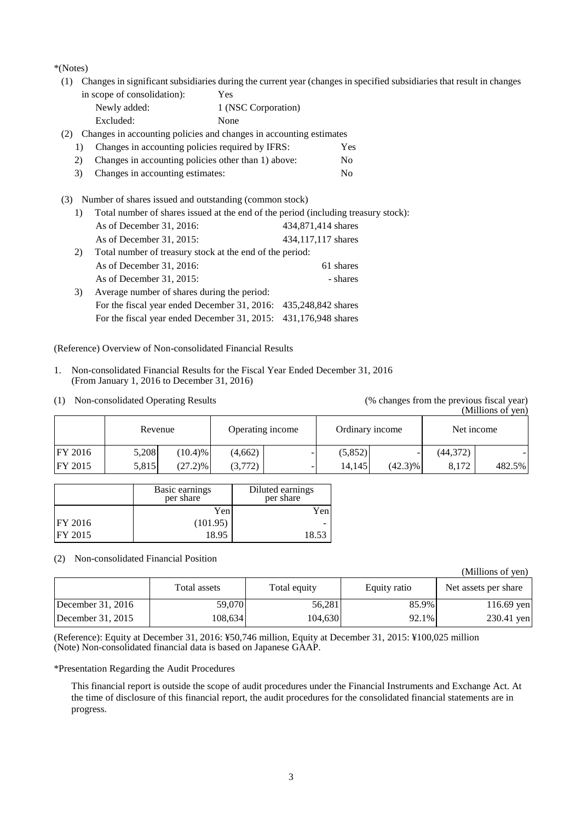\*(Notes)

(1) Changes in significant subsidiaries during the current year (changes in specified subsidiaries that result in changes

| in scope of consolidation): | Yes                 |
|-----------------------------|---------------------|
| Newly added:                | 1 (NSC Corporation) |
| Excluded:                   | None                |

(2) Changes in accounting policies and changes in accounting estimates

- 1) Changes in accounting policies required by IFRS: Yes
- 2) Changes in accounting policies other than 1) above: No
- 3) Changes in accounting estimates: No
- (3) Number of shares issued and outstanding (common stock)
	- 1) Total number of shares issued at the end of the period (including treasury stock):

|    | As of December 31, 2016:                                        | 434,871,414 shares |
|----|-----------------------------------------------------------------|--------------------|
|    | As of December 31, 2015:                                        | 434,117,117 shares |
| 2) | Total number of treasury stock at the end of the period:        |                    |
|    | As of December $31, 2016$ :                                     | 61 shares          |
|    | As of December $31, 2015$ :                                     | - shares           |
| 3) | Average number of shares during the period:                     |                    |
|    | For the fiscal year ended December 31, 2016: 435,248,842 shares |                    |
|    | For the fiscal year ended December 31, 2015: 431,176,948 shares |                    |

# (Reference) Overview of Non-consolidated Financial Results

- 1. Non-consolidated Financial Results for the Fiscal Year Ended December 31, 2016 (From January 1, 2016 to December 31, 2016)
- 

#### (1) Non-consolidated Operating Results (% changes from the previous fiscal year) (Millions of yen)

|                |       | Revenue    |         | Operating income |         | Ordinary income |          | Net income |
|----------------|-------|------------|---------|------------------|---------|-----------------|----------|------------|
| <b>FY 2016</b> | 5,208 | (10.4)%    | (4,662) |                  | (5,852) |                 | (44,372) |            |
| <b>FY 2015</b> | 5,815 | $(27.2)\%$ | (3,772) |                  | 14.145  | $(42.3)\%$      | 8.172    | 482.5%     |

|                | Basic earnings<br>per share | Diluted earnings<br>per share |
|----------------|-----------------------------|-------------------------------|
|                | Yen                         | Yen                           |
| <b>FY 2016</b> | (101.95)                    |                               |
| <b>FY 2015</b> | 18.95                       | 18.53                         |

(2) Non-consolidated Financial Position

(Millions of yen)

|                     | Total assets | Total equity | Equity ratio | Net assets per share |
|---------------------|--------------|--------------|--------------|----------------------|
| December $31, 2016$ | 59,070       | 56.281       | 85.9%        | $116.69$ yen         |
| December $31, 2015$ | 108.634      | 104.630      | 92.1%        | 230.41 yen           |

(Reference): Equity at December 31, 2016: ¥50,746 million, Equity at December 31, 2015: ¥100,025 million (Note) Non-consolidated financial data is based on Japanese GAAP.

\*Presentation Regarding the Audit Procedures

This financial report is outside the scope of audit procedures under the Financial Instruments and Exchange Act. At the time of disclosure of this financial report, the audit procedures for the consolidated financial statements are in progress.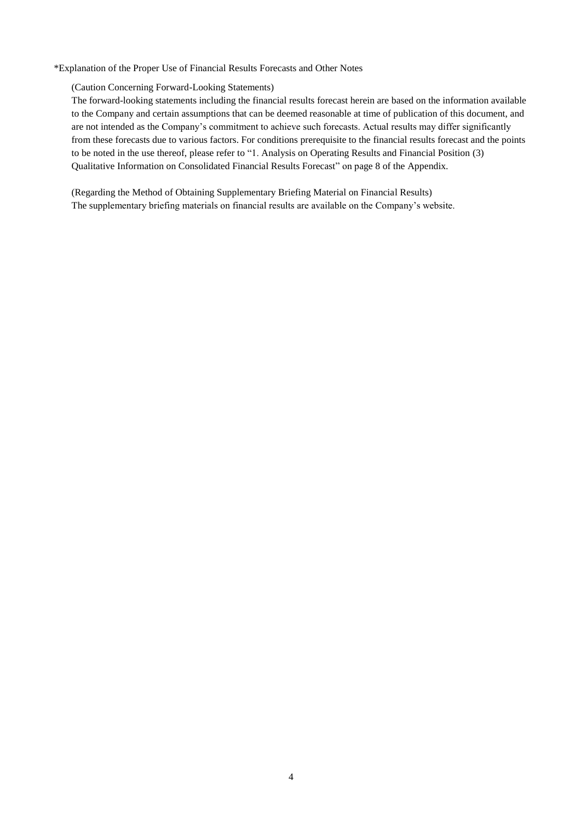\*Explanation of the Proper Use of Financial Results Forecasts and Other Notes

(Caution Concerning Forward-Looking Statements)

The forward-looking statements including the financial results forecast herein are based on the information available to the Company and certain assumptions that can be deemed reasonable at time of publication of this document, and are not intended as the Company's commitment to achieve such forecasts. Actual results may differ significantly from these forecasts due to various factors. For conditions prerequisite to the financial results forecast and the points to be noted in the use thereof, please refer to "1. Analysis on Operating Results and Financial Position (3) Qualitative Information on Consolidated Financial Results Forecast" on page 8 of the Appendix.

(Regarding the Method of Obtaining Supplementary Briefing Material on Financial Results) The supplementary briefing materials on financial results are available on the Company's website.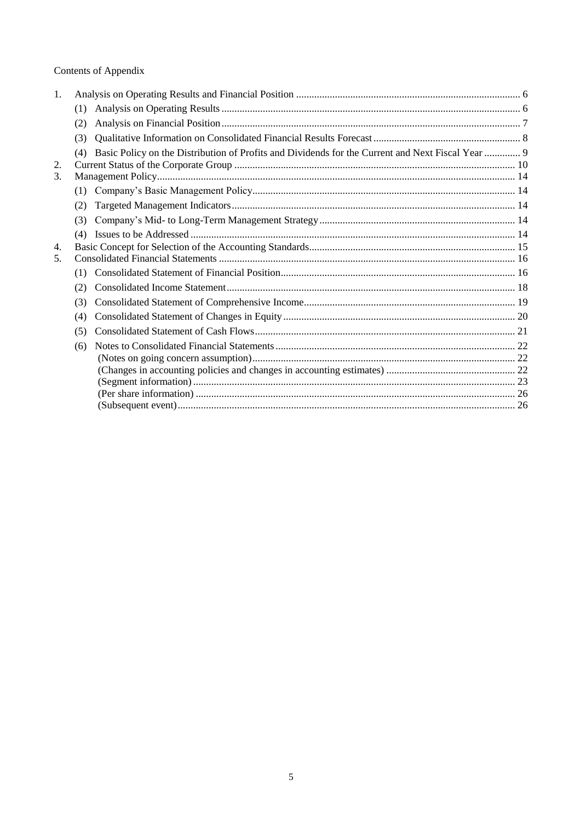# Contents of Appendix

| 1. |                                                                                                          |  |
|----|----------------------------------------------------------------------------------------------------------|--|
|    | (1)                                                                                                      |  |
|    | (2)                                                                                                      |  |
|    | (3)                                                                                                      |  |
|    | Basic Policy on the Distribution of Profits and Dividends for the Current and Next Fiscal Year  9<br>(4) |  |
| 2. |                                                                                                          |  |
| 3. |                                                                                                          |  |
|    | (1)                                                                                                      |  |
|    | (2)                                                                                                      |  |
|    | (3)                                                                                                      |  |
|    | (4)                                                                                                      |  |
| 4. |                                                                                                          |  |
| 5. |                                                                                                          |  |
|    | (1)                                                                                                      |  |
|    | (2)                                                                                                      |  |
|    | (3)                                                                                                      |  |
|    | (4)                                                                                                      |  |
|    | (5)                                                                                                      |  |
|    | (6)                                                                                                      |  |
|    |                                                                                                          |  |
|    |                                                                                                          |  |
|    |                                                                                                          |  |
|    |                                                                                                          |  |
|    |                                                                                                          |  |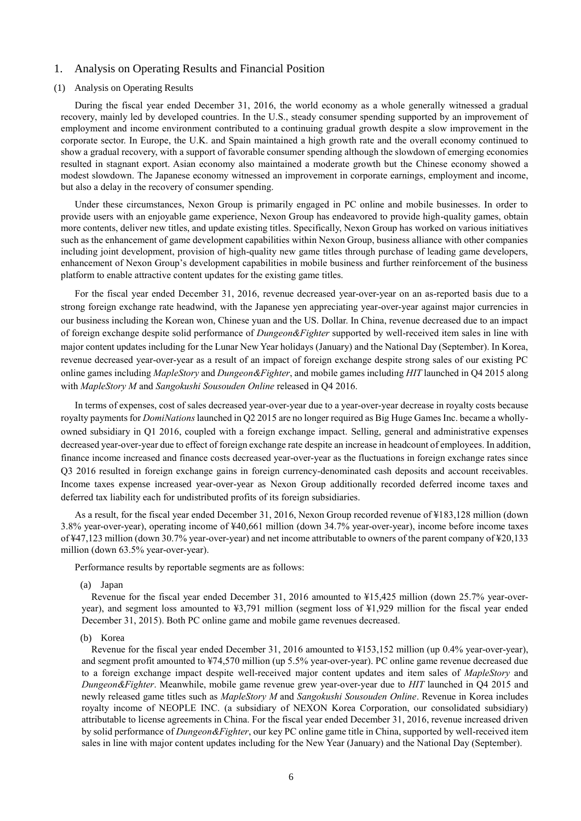## <span id="page-5-0"></span>1. Analysis on Operating Results and Financial Position

### <span id="page-5-1"></span>(1) Analysis on Operating Results

During the fiscal year ended December 31, 2016, the world economy as a whole generally witnessed a gradual recovery, mainly led by developed countries. In the U.S., steady consumer spending supported by an improvement of employment and income environment contributed to a continuing gradual growth despite a slow improvement in the corporate sector. In Europe, the U.K. and Spain maintained a high growth rate and the overall economy continued to show a gradual recovery, with a support of favorable consumer spending although the slowdown of emerging economies resulted in stagnant export. Asian economy also maintained a moderate growth but the Chinese economy showed a modest slowdown. The Japanese economy witnessed an improvement in corporate earnings, employment and income, but also a delay in the recovery of consumer spending.

Under these circumstances, Nexon Group is primarily engaged in PC online and mobile businesses. In order to provide users with an enjoyable game experience, Nexon Group has endeavored to provide high-quality games, obtain more contents, deliver new titles, and update existing titles. Specifically, Nexon Group has worked on various initiatives such as the enhancement of game development capabilities within Nexon Group, business alliance with other companies including joint development, provision of high-quality new game titles through purchase of leading game developers, enhancement of Nexon Group's development capabilities in mobile business and further reinforcement of the business platform to enable attractive content updates for the existing game titles.

For the fiscal year ended December 31, 2016, revenue decreased year-over-year on an as-reported basis due to a strong foreign exchange rate headwind, with the Japanese yen appreciating year-over-year against major currencies in our business including the Korean won, Chinese yuan and the US. Dollar. In China, revenue decreased due to an impact of foreign exchange despite solid performance of *Dungeon&Fighter* supported by well-received item sales in line with major content updates including for the Lunar New Year holidays (January) and the National Day (September). In Korea, revenue decreased year-over-year as a result of an impact of foreign exchange despite strong sales of our existing PC online games including *MapleStory* and *Dungeon&Fighter*, and mobile games including *HIT* launched in Q4 2015 along with *MapleStory M* and *Sangokushi Sousouden Online* released in Q4 2016.

In terms of expenses, cost of sales decreased year-over-year due to a year-over-year decrease in royalty costs because royalty payments for *DomiNations* launched in Q2 2015 are no longer required as Big Huge Games Inc. became a whollyowned subsidiary in Q1 2016, coupled with a foreign exchange impact. Selling, general and administrative expenses decreased year-over-year due to effect of foreign exchange rate despite an increase in headcount of employees. In addition, finance income increased and finance costs decreased year-over-year as the fluctuations in foreign exchange rates since Q3 2016 resulted in foreign exchange gains in foreign currency-denominated cash deposits and account receivables. Income taxes expense increased year-over-year as Nexon Group additionally recorded deferred income taxes and deferred tax liability each for undistributed profits of its foreign subsidiaries.

As a result, for the fiscal year ended December 31, 2016, Nexon Group recorded revenue of ¥183,128 million (down 3.8% year-over-year), operating income of ¥40,661 million (down 34.7% year-over-year), income before income taxes of ¥47,123 million (down 30.7% year-over-year) and net income attributable to owners of the parent company of ¥20,133 million (down 63.5% year-over-year).

Performance results by reportable segments are as follows:

(a) Japan

Revenue for the fiscal year ended December 31, 2016 amounted to ¥15,425 million (down 25.7% year-overyear), and segment loss amounted to ¥3,791 million (segment loss of ¥1,929 million for the fiscal year ended December 31, 2015). Both PC online game and mobile game revenues decreased.

#### (b) Korea

Revenue for the fiscal year ended December 31, 2016 amounted to ¥153,152 million (up 0.4% year-over-year), and segment profit amounted to ¥74,570 million (up 5.5% year-over-year). PC online game revenue decreased due to a foreign exchange impact despite well-received major content updates and item sales of *MapleStory* and *Dungeon&Fighter*. Meanwhile, mobile game revenue grew year-over-year due to *HIT* launched in Q4 2015 and newly released game titles such as *MapleStory M* and *Sangokushi Sousouden Online*. Revenue in Korea includes royalty income of NEOPLE INC. (a subsidiary of NEXON Korea Corporation, our consolidated subsidiary) attributable to license agreements in China. For the fiscal year ended December 31, 2016, revenue increased driven by solid performance of *Dungeon&Fighter*, our key PC online game title in China, supported by well-received item sales in line with major content updates including for the New Year (January) and the National Day (September).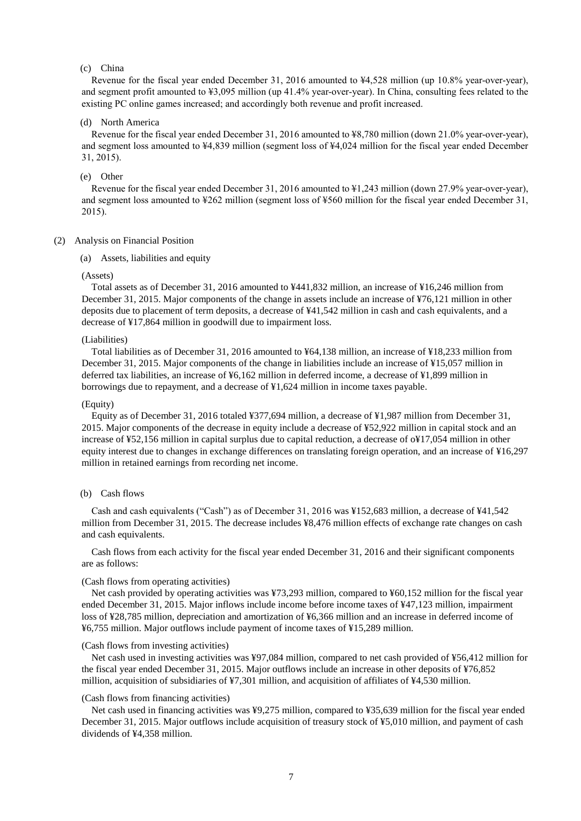### (c) China

Revenue for the fiscal year ended December 31, 2016 amounted to ¥4,528 million (up 10.8% year-over-year), and segment profit amounted to ¥3,095 million (up 41.4% year-over-year). In China, consulting fees related to the existing PC online games increased; and accordingly both revenue and profit increased.

## (d) North America

Revenue for the fiscal year ended December 31, 2016 amounted to ¥8,780 million (down 21.0% year-over-year), and segment loss amounted to ¥4,839 million (segment loss of ¥4,024 million for the fiscal year ended December 31, 2015).

## (e) Other

Revenue for the fiscal year ended December 31, 2016 amounted to ¥1,243 million (down 27.9% year-over-year), and segment loss amounted to ¥262 million (segment loss of ¥560 million for the fiscal year ended December 31, 2015).

#### <span id="page-6-0"></span>(2) Analysis on Financial Position

(a) Assets, liabilities and equity

#### (Assets)

Total assets as of December 31, 2016 amounted to ¥441,832 million, an increase of ¥16,246 million from December 31, 2015. Major components of the change in assets include an increase of ¥76,121 million in other deposits due to placement of term deposits, a decrease of ¥41,542 million in cash and cash equivalents, and a decrease of ¥17,864 million in goodwill due to impairment loss.

#### (Liabilities)

Total liabilities as of December 31, 2016 amounted to ¥64,138 million, an increase of ¥18,233 million from December 31, 2015. Major components of the change in liabilities include an increase of ¥15,057 million in deferred tax liabilities, an increase of ¥6,162 million in deferred income, a decrease of ¥1,899 million in borrowings due to repayment, and a decrease of ¥1,624 million in income taxes payable.

### (Equity)

Equity as of December 31, 2016 totaled ¥377,694 million, a decrease of ¥1,987 million from December 31, 2015. Major components of the decrease in equity include a decrease of ¥52,922 million in capital stock and an increase of ¥52,156 million in capital surplus due to capital reduction, a decrease of o¥17,054 million in other equity interest due to changes in exchange differences on translating foreign operation, and an increase of ¥16,297 million in retained earnings from recording net income.

#### (b) Cash flows

Cash and cash equivalents ("Cash") as of December 31, 2016 was ¥152,683 million, a decrease of ¥41,542 million from December 31, 2015. The decrease includes ¥8,476 million effects of exchange rate changes on cash and cash equivalents.

Cash flows from each activity for the fiscal year ended December 31, 2016 and their significant components are as follows:

#### (Cash flows from operating activities)

Net cash provided by operating activities was ¥73,293 million, compared to ¥60,152 million for the fiscal year ended December 31, 2015. Major inflows include income before income taxes of ¥47,123 million, impairment loss of ¥28,785 million, depreciation and amortization of ¥6,366 million and an increase in deferred income of ¥6,755 million. Major outflows include payment of income taxes of ¥15,289 million.

#### (Cash flows from investing activities)

Net cash used in investing activities was ¥97,084 million, compared to net cash provided of ¥56,412 million for the fiscal year ended December 31, 2015. Major outflows include an increase in other deposits of ¥76,852 million, acquisition of subsidiaries of ¥7,301 million, and acquisition of affiliates of ¥4,530 million.

#### (Cash flows from financing activities)

Net cash used in financing activities was ¥9,275 million, compared to ¥35,639 million for the fiscal year ended December 31, 2015. Major outflows include acquisition of treasury stock of ¥5,010 million, and payment of cash dividends of ¥4,358 million.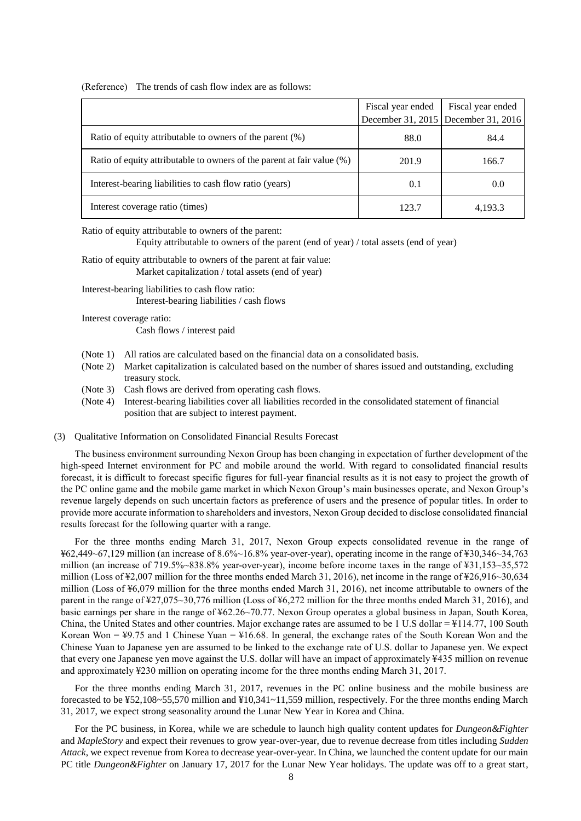(Reference) The trends of cash flow index are as follows:

|                                                                        | Fiscal year ended | Fiscal year ended                     |
|------------------------------------------------------------------------|-------------------|---------------------------------------|
|                                                                        |                   | December 31, 2015   December 31, 2016 |
| Ratio of equity attributable to owners of the parent $(\%)$            | 88.0              | 84.4                                  |
| Ratio of equity attributable to owners of the parent at fair value (%) | 201.9             | 166.7                                 |
| Interest-bearing liabilities to cash flow ratio (years)                | 0.1               | 0.0                                   |
| Interest coverage ratio (times)                                        | 123.7             | 4,193.3                               |

Ratio of equity attributable to owners of the parent:

Equity attributable to owners of the parent (end of year) / total assets (end of year)

# Ratio of equity attributable to owners of the parent at fair value:

Market capitalization / total assets (end of year)

Interest-bearing liabilities to cash flow ratio: Interest-bearing liabilities / cash flows

Interest coverage ratio:

Cash flows / interest paid

- (Note 1) All ratios are calculated based on the financial data on a consolidated basis.
- (Note 2) Market capitalization is calculated based on the number of shares issued and outstanding, excluding treasury stock.
- (Note 3) Cash flows are derived from operating cash flows.
- (Note 4) Interest-bearing liabilities cover all liabilities recorded in the consolidated statement of financial position that are subject to interest payment.

#### <span id="page-7-0"></span>(3) Qualitative Information on Consolidated Financial Results Forecast

The business environment surrounding Nexon Group has been changing in expectation of further development of the high-speed Internet environment for PC and mobile around the world. With regard to consolidated financial results forecast, it is difficult to forecast specific figures for full-year financial results as it is not easy to project the growth of the PC online game and the mobile game market in which Nexon Group's main businesses operate, and Nexon Group's revenue largely depends on such uncertain factors as preference of users and the presence of popular titles. In order to provide more accurate information to shareholders and investors, Nexon Group decided to disclose consolidated financial results forecast for the following quarter with a range.

For the three months ending March 31, 2017, Nexon Group expects consolidated revenue in the range of ¥62,449~67,129 million (an increase of 8.6%~16.8% year-over-year), operating income in the range of ¥30,346~34,763 million (an increase of 719.5%~838.8% year-over-year), income before income taxes in the range of ¥31,153~35,572 million (Loss of ¥2,007 million for the three months ended March 31, 2016), net income in the range of ¥26,916~30,634 million (Loss of ¥6,079 million for the three months ended March 31, 2016), net income attributable to owners of the parent in the range of ¥27,075~30,776 million (Loss of ¥6,272 million for the three months ended March 31, 2016), and basic earnings per share in the range of ¥62.26~70.77. Nexon Group operates a global business in Japan, South Korea, China, the United States and other countries. Major exchange rates are assumed to be 1 U.S dollar = ¥114.77, 100 South Korean Won = ¥9.75 and 1 Chinese Yuan = ¥16.68. In general, the exchange rates of the South Korean Won and the Chinese Yuan to Japanese yen are assumed to be linked to the exchange rate of U.S. dollar to Japanese yen. We expect that every one Japanese yen move against the U.S. dollar will have an impact of approximately ¥435 million on revenue and approximately ¥230 million on operating income for the three months ending March 31, 2017.

For the three months ending March 31, 2017, revenues in the PC online business and the mobile business are forecasted to be ¥52,108~55,570 million and ¥10,341~11,559 million, respectively. For the three months ending March 31, 2017, we expect strong seasonality around the Lunar New Year in Korea and China.

For the PC business, in Korea, while we are schedule to launch high quality content updates for *Dungeon&Fighter* and *MapleStory* and expect their revenues to grow year-over-year, due to revenue decrease from titles including *Sudden Attack*, we expect revenue from Korea to decrease year-over-year. In China, we launched the content update for our main PC title *Dungeon&Fighter* on January 17, 2017 for the Lunar New Year holidays. The update was off to a great start,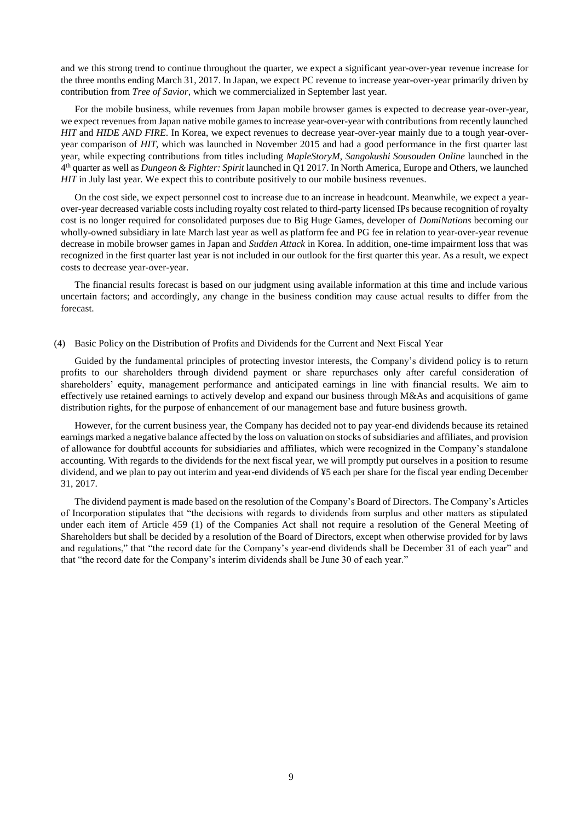and we this strong trend to continue throughout the quarter, we expect a significant year-over-year revenue increase for the three months ending March 31, 2017. In Japan, we expect PC revenue to increase year-over-year primarily driven by contribution from *Tree of Savior*, which we commercialized in September last year.

For the mobile business, while revenues from Japan mobile browser games is expected to decrease year-over-year, we expect revenues from Japan native mobile games to increase year-over-year with contributions from recently launched *HIT* and *HIDE AND FIRE*. In Korea, we expect revenues to decrease year-over-year mainly due to a tough year-overyear comparison of *HIT*, which was launched in November 2015 and had a good performance in the first quarter last year, while expecting contributions from titles including *MapleStoryM*, *Sangokushi Sousouden Online* launched in the 4 th quarter as well as *Dungeon & Fighter: Spirit* launched in Q1 2017. In North America, Europe and Others, we launched *HIT* in July last year. We expect this to contribute positively to our mobile business revenues.

On the cost side, we expect personnel cost to increase due to an increase in headcount. Meanwhile, we expect a yearover-year decreased variable costs including royalty cost related to third-party licensed IPs because recognition of royalty cost is no longer required for consolidated purposes due to Big Huge Games, developer of *DomiNations* becoming our wholly-owned subsidiary in late March last year as well as platform fee and PG fee in relation to year-over-year revenue decrease in mobile browser games in Japan and *Sudden Attack* in Korea. In addition, one-time impairment loss that was recognized in the first quarter last year is not included in our outlook for the first quarter this year. As a result, we expect costs to decrease year-over-year.

The financial results forecast is based on our judgment using available information at this time and include various uncertain factors; and accordingly, any change in the business condition may cause actual results to differ from the forecast.

#### <span id="page-8-0"></span>(4) Basic Policy on the Distribution of Profits and Dividends for the Current and Next Fiscal Year

Guided by the fundamental principles of protecting investor interests, the Company's dividend policy is to return profits to our shareholders through dividend payment or share repurchases only after careful consideration of shareholders' equity, management performance and anticipated earnings in line with financial results. We aim to effectively use retained earnings to actively develop and expand our business through M&As and acquisitions of game distribution rights, for the purpose of enhancement of our management base and future business growth.

However, for the current business year, the Company has decided not to pay year-end dividends because its retained earnings marked a negative balance affected by the loss on valuation on stocks of subsidiaries and affiliates, and provision of allowance for doubtful accounts for subsidiaries and affiliates, which were recognized in the Company's standalone accounting. With regards to the dividends for the next fiscal year, we will promptly put ourselves in a position to resume dividend, and we plan to pay out interim and year-end dividends of ¥5 each per share for the fiscal year ending December 31, 2017.

The dividend payment is made based on the resolution of the Company's Board of Directors. The Company's Articles of Incorporation stipulates that "the decisions with regards to dividends from surplus and other matters as stipulated under each item of Article 459 (1) of the Companies Act shall not require a resolution of the General Meeting of Shareholders but shall be decided by a resolution of the Board of Directors, except when otherwise provided for by laws and regulations," that "the record date for the Company's year-end dividends shall be December 31 of each year" and that "the record date for the Company's interim dividends shall be June 30 of each year."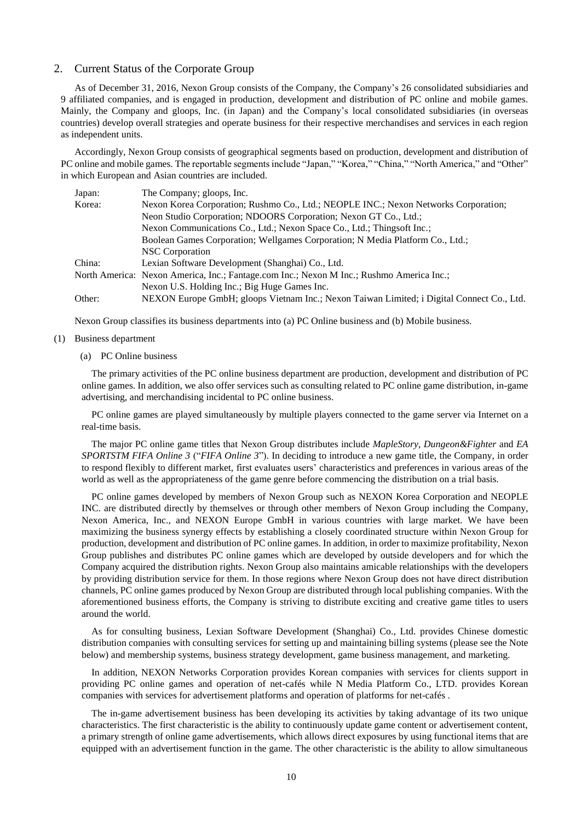## <span id="page-9-0"></span>2. Current Status of the Corporate Group

As of December 31, 2016, Nexon Group consists of the Company, the Company's 26 consolidated subsidiaries and 9 affiliated companies, and is engaged in production, development and distribution of PC online and mobile games. Mainly, the Company and gloops, Inc. (in Japan) and the Company's local consolidated subsidiaries (in overseas countries) develop overall strategies and operate business for their respective merchandises and services in each region as independent units.

Accordingly, Nexon Group consists of geographical segments based on production, development and distribution of PC online and mobile games. The reportable segments include "Japan," "Korea," "China," "North America," and "Other" in which European and Asian countries are included.

| Japan: | The Company; gloops, Inc.                                                                 |
|--------|-------------------------------------------------------------------------------------------|
| Korea: | Nexon Korea Corporation; Rushmo Co., Ltd.; NEOPLE INC.; Nexon Networks Corporation;       |
|        | Neon Studio Corporation; NDOORS Corporation; Nexon GT Co., Ltd.;                          |
|        | Nexon Communications Co., Ltd.; Nexon Space Co., Ltd.; Thingsoft Inc.;                    |
|        | Boolean Games Corporation; Wellgames Corporation; N Media Platform Co., Ltd.;             |
|        | NSC Corporation                                                                           |
| China: | Lexian Software Development (Shanghai) Co., Ltd.                                          |
|        | North America: Nexon America, Inc.; Fantage.com Inc.; Nexon M Inc.; Rushmo America Inc.;  |
|        | Nexon U.S. Holding Inc.; Big Huge Games Inc.                                              |
| Other: | NEXON Europe GmbH; gloops Vietnam Inc.; Nexon Taiwan Limited; i Digital Connect Co., Ltd. |

Nexon Group classifies its business departments into (a) PC Online business and (b) Mobile business.

### (1) Business department

## (a) PC Online business

The primary activities of the PC online business department are production, development and distribution of PC online games. In addition, we also offer services such as consulting related to PC online game distribution, in-game advertising, and merchandising incidental to PC online business.

PC online games are played simultaneously by multiple players connected to the game server via Internet on a real-time basis.

The major PC online game titles that Nexon Group distributes include *MapleStory*, *Dungeon&Fighter* and *EA SPORTSTM FIFA Online 3* ("*FIFA Online 3*"). In deciding to introduce a new game title, the Company, in order to respond flexibly to different market, first evaluates users' characteristics and preferences in various areas of the world as well as the appropriateness of the game genre before commencing the distribution on a trial basis.

PC online games developed by members of Nexon Group such as NEXON Korea Corporation and NEOPLE INC. are distributed directly by themselves or through other members of Nexon Group including the Company, Nexon America, Inc., and NEXON Europe GmbH in various countries with large market. We have been maximizing the business synergy effects by establishing a closely coordinated structure within Nexon Group for production, development and distribution of PC online games. In addition, in order to maximize profitability, Nexon Group publishes and distributes PC online games which are developed by outside developers and for which the Company acquired the distribution rights. Nexon Group also maintains amicable relationships with the developers by providing distribution service for them. In those regions where Nexon Group does not have direct distribution channels, PC online games produced by Nexon Group are distributed through local publishing companies. With the aforementioned business efforts, the Company is striving to distribute exciting and creative game titles to users around the world.

As for consulting business, Lexian Software Development (Shanghai) Co., Ltd. provides Chinese domestic distribution companies with consulting services for setting up and maintaining billing systems (please see the Note below) and membership systems, business strategy development, game business management, and marketing.

In addition, NEXON Networks Corporation provides Korean companies with services for clients support in providing PC online games and operation of net-cafés while N Media Platform Co., LTD. provides Korean companies with services for advertisement platforms and operation of platforms for net-cafés .

The in-game advertisement business has been developing its activities by taking advantage of its two unique characteristics. The first characteristic is the ability to continuously update game content or advertisement content, a primary strength of online game advertisements, which allows direct exposures by using functional items that are equipped with an advertisement function in the game. The other characteristic is the ability to allow simultaneous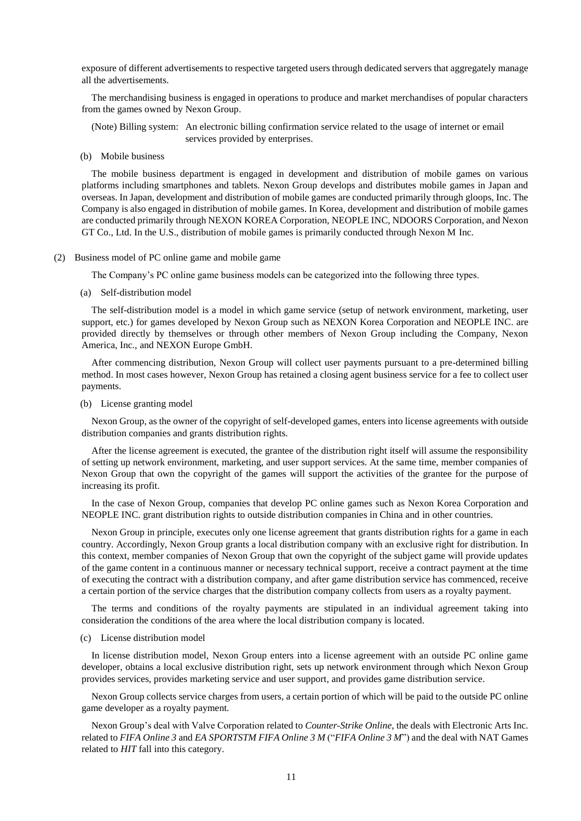exposure of different advertisements to respective targeted users through dedicated servers that aggregately manage all the advertisements.

The merchandising business is engaged in operations to produce and market merchandises of popular characters from the games owned by Nexon Group.

(Note) Billing system: An electronic billing confirmation service related to the usage of internet or email services provided by enterprises.

(b) Mobile business

The mobile business department is engaged in development and distribution of mobile games on various platforms including smartphones and tablets. Nexon Group develops and distributes mobile games in Japan and overseas. In Japan, development and distribution of mobile games are conducted primarily through gloops, Inc. The Company is also engaged in distribution of mobile games. In Korea, development and distribution of mobile games are conducted primarily through NEXON KOREA Corporation, NEOPLE INC, NDOORS Corporation, and Nexon GT Co., Ltd. In the U.S., distribution of mobile games is primarily conducted through Nexon M Inc.

#### (2) Business model of PC online game and mobile game

The Company's PC online game business models can be categorized into the following three types.

(a) Self-distribution model

The self-distribution model is a model in which game service (setup of network environment, marketing, user support, etc.) for games developed by Nexon Group such as NEXON Korea Corporation and NEOPLE INC. are provided directly by themselves or through other members of Nexon Group including the Company, Nexon America, Inc., and NEXON Europe GmbH.

After commencing distribution, Nexon Group will collect user payments pursuant to a pre-determined billing method. In most cases however, Nexon Group has retained a closing agent business service for a fee to collect user payments.

(b) License granting model

Nexon Group, as the owner of the copyright of self-developed games, enters into license agreements with outside distribution companies and grants distribution rights.

After the license agreement is executed, the grantee of the distribution right itself will assume the responsibility of setting up network environment, marketing, and user support services. At the same time, member companies of Nexon Group that own the copyright of the games will support the activities of the grantee for the purpose of increasing its profit.

In the case of Nexon Group, companies that develop PC online games such as Nexon Korea Corporation and NEOPLE INC. grant distribution rights to outside distribution companies in China and in other countries.

Nexon Group in principle, executes only one license agreement that grants distribution rights for a game in each country. Accordingly, Nexon Group grants a local distribution company with an exclusive right for distribution. In this context, member companies of Nexon Group that own the copyright of the subject game will provide updates of the game content in a continuous manner or necessary technical support, receive a contract payment at the time of executing the contract with a distribution company, and after game distribution service has commenced, receive a certain portion of the service charges that the distribution company collects from users as a royalty payment.

The terms and conditions of the royalty payments are stipulated in an individual agreement taking into consideration the conditions of the area where the local distribution company is located.

(c) License distribution model

In license distribution model, Nexon Group enters into a license agreement with an outside PC online game developer, obtains a local exclusive distribution right, sets up network environment through which Nexon Group provides services, provides marketing service and user support, and provides game distribution service.

Nexon Group collects service charges from users, a certain portion of which will be paid to the outside PC online game developer as a royalty payment.

Nexon Group's deal with Valve Corporation related to *Counter-Strike Online*, the deals with Electronic Arts Inc. related to *FIFA Online 3* and *EA SPORTSTM FIFA Online 3 M* ("*FIFA Online 3 M*") and the deal with NAT Games related to *HIT* fall into this category.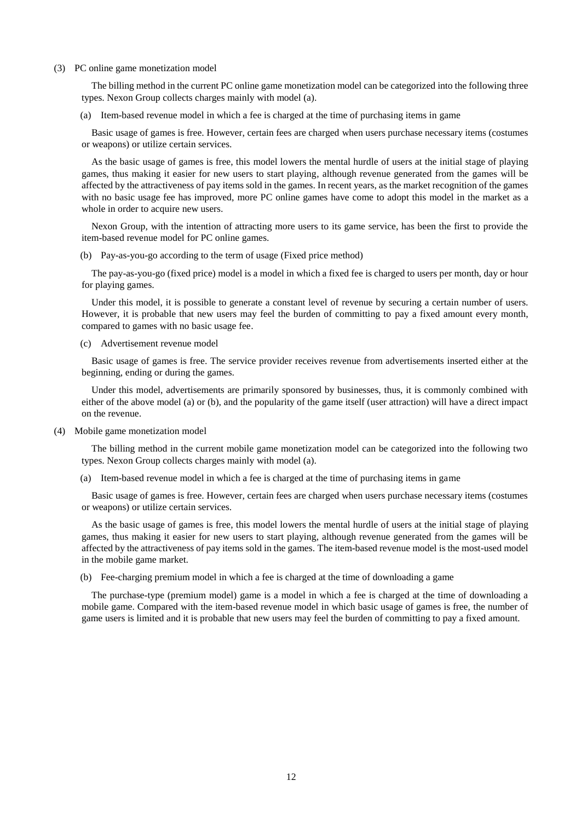### (3) PC online game monetization model

The billing method in the current PC online game monetization model can be categorized into the following three types. Nexon Group collects charges mainly with model (a).

(a) Item-based revenue model in which a fee is charged at the time of purchasing items in game

Basic usage of games is free. However, certain fees are charged when users purchase necessary items (costumes or weapons) or utilize certain services.

As the basic usage of games is free, this model lowers the mental hurdle of users at the initial stage of playing games, thus making it easier for new users to start playing, although revenue generated from the games will be affected by the attractiveness of pay items sold in the games. In recent years, as the market recognition of the games with no basic usage fee has improved, more PC online games have come to adopt this model in the market as a whole in order to acquire new users.

Nexon Group, with the intention of attracting more users to its game service, has been the first to provide the item-based revenue model for PC online games.

(b) Pay-as-you-go according to the term of usage (Fixed price method)

The pay-as-you-go (fixed price) model is a model in which a fixed fee is charged to users per month, day or hour for playing games.

Under this model, it is possible to generate a constant level of revenue by securing a certain number of users. However, it is probable that new users may feel the burden of committing to pay a fixed amount every month, compared to games with no basic usage fee.

(c) Advertisement revenue model

Basic usage of games is free. The service provider receives revenue from advertisements inserted either at the beginning, ending or during the games.

Under this model, advertisements are primarily sponsored by businesses, thus, it is commonly combined with either of the above model (a) or (b), and the popularity of the game itself (user attraction) will have a direct impact on the revenue.

(4) Mobile game monetization model

The billing method in the current mobile game monetization model can be categorized into the following two types. Nexon Group collects charges mainly with model (a).

(a) Item-based revenue model in which a fee is charged at the time of purchasing items in game

Basic usage of games is free. However, certain fees are charged when users purchase necessary items (costumes or weapons) or utilize certain services.

As the basic usage of games is free, this model lowers the mental hurdle of users at the initial stage of playing games, thus making it easier for new users to start playing, although revenue generated from the games will be affected by the attractiveness of pay items sold in the games. The item-based revenue model is the most-used model in the mobile game market.

(b) Fee-charging premium model in which a fee is charged at the time of downloading a game

The purchase-type (premium model) game is a model in which a fee is charged at the time of downloading a mobile game. Compared with the item-based revenue model in which basic usage of games is free, the number of game users is limited and it is probable that new users may feel the burden of committing to pay a fixed amount.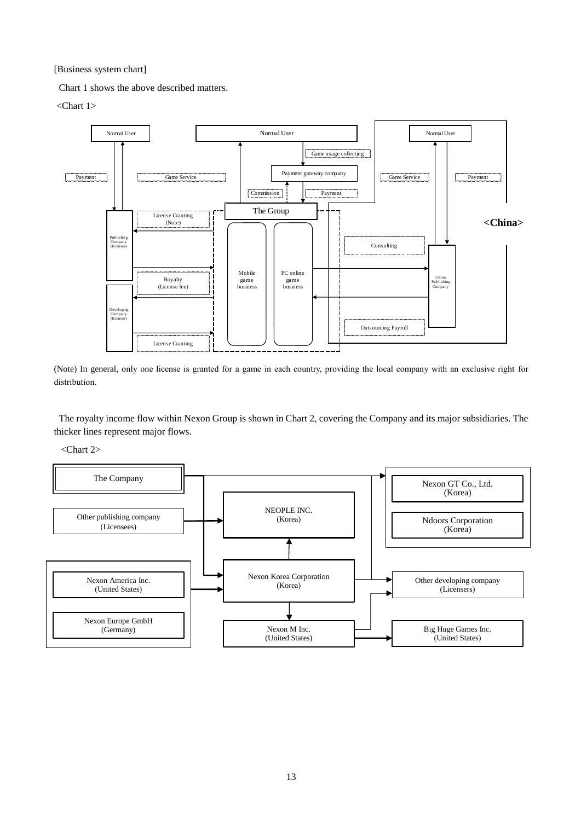[Business system chart]

Chart 1 shows the above described matters.

<Chart 1>



(Note) In general, only one license is granted for a game in each country, providing the local company with an exclusive right for distribution.

The royalty income flow within Nexon Group is shown in Chart 2, covering the Company and its major subsidiaries. The thicker lines represent major flows.

<Chart 2>

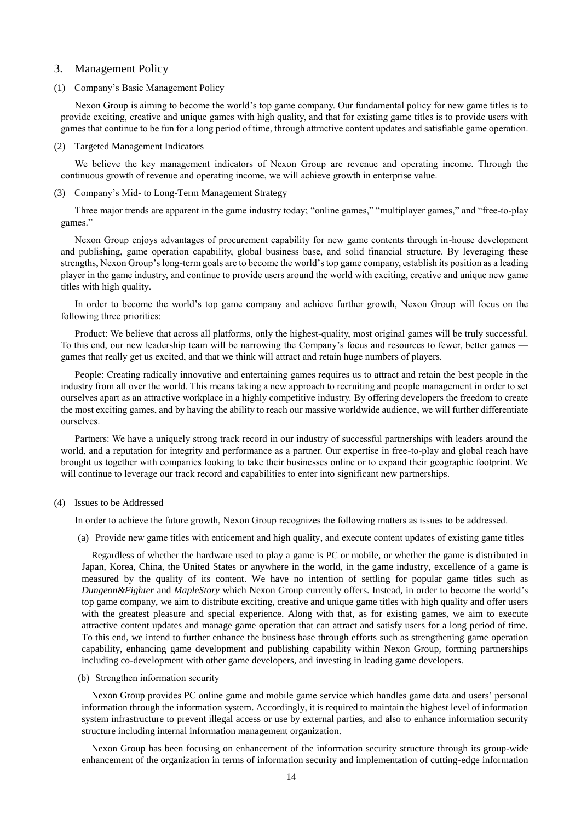## <span id="page-13-0"></span>3. Management Policy

### <span id="page-13-1"></span>(1) Company's Basic Management Policy

Nexon Group is aiming to become the world's top game company. Our fundamental policy for new game titles is to provide exciting, creative and unique games with high quality, and that for existing game titles is to provide users with games that continue to be fun for a long period of time, through attractive content updates and satisfiable game operation.

#### <span id="page-13-2"></span>(2) Targeted Management Indicators

We believe the key management indicators of Nexon Group are revenue and operating income. Through the continuous growth of revenue and operating income, we will achieve growth in enterprise value.

<span id="page-13-3"></span>(3) Company's Mid- to Long-Term Management Strategy

Three major trends are apparent in the game industry today; "online games," "multiplayer games," and "free-to-play games."

Nexon Group enjoys advantages of procurement capability for new game contents through in-house development and publishing, game operation capability, global business base, and solid financial structure. By leveraging these strengths, Nexon Group's long-term goals are to become the world's top game company, establish its position as a leading player in the game industry, and continue to provide users around the world with exciting, creative and unique new game titles with high quality.

In order to become the world's top game company and achieve further growth, Nexon Group will focus on the following three priorities:

Product: We believe that across all platforms, only the highest-quality, most original games will be truly successful. To this end, our new leadership team will be narrowing the Company's focus and resources to fewer, better games games that really get us excited, and that we think will attract and retain huge numbers of players.

People: Creating radically innovative and entertaining games requires us to attract and retain the best people in the industry from all over the world. This means taking a new approach to recruiting and people management in order to set ourselves apart as an attractive workplace in a highly competitive industry. By offering developers the freedom to create the most exciting games, and by having the ability to reach our massive worldwide audience, we will further differentiate ourselves.

Partners: We have a uniquely strong track record in our industry of successful partnerships with leaders around the world, and a reputation for integrity and performance as a partner. Our expertise in free-to-play and global reach have brought us together with companies looking to take their businesses online or to expand their geographic footprint. We will continue to leverage our track record and capabilities to enter into significant new partnerships.

#### <span id="page-13-4"></span>(4) Issues to be Addressed

In order to achieve the future growth, Nexon Group recognizes the following matters as issues to be addressed.

(a) Provide new game titles with enticement and high quality, and execute content updates of existing game titles

Regardless of whether the hardware used to play a game is PC or mobile, or whether the game is distributed in Japan, Korea, China, the United States or anywhere in the world, in the game industry, excellence of a game is measured by the quality of its content. We have no intention of settling for popular game titles such as *Dungeon&Fighter* and *MapleStory* which Nexon Group currently offers. Instead, in order to become the world's top game company, we aim to distribute exciting, creative and unique game titles with high quality and offer users with the greatest pleasure and special experience. Along with that, as for existing games, we aim to execute attractive content updates and manage game operation that can attract and satisfy users for a long period of time. To this end, we intend to further enhance the business base through efforts such as strengthening game operation capability, enhancing game development and publishing capability within Nexon Group, forming partnerships including co-development with other game developers, and investing in leading game developers.

(b) Strengthen information security

Nexon Group provides PC online game and mobile game service which handles game data and users' personal information through the information system. Accordingly, it is required to maintain the highest level of information system infrastructure to prevent illegal access or use by external parties, and also to enhance information security structure including internal information management organization.

Nexon Group has been focusing on enhancement of the information security structure through its group-wide enhancement of the organization in terms of information security and implementation of cutting-edge information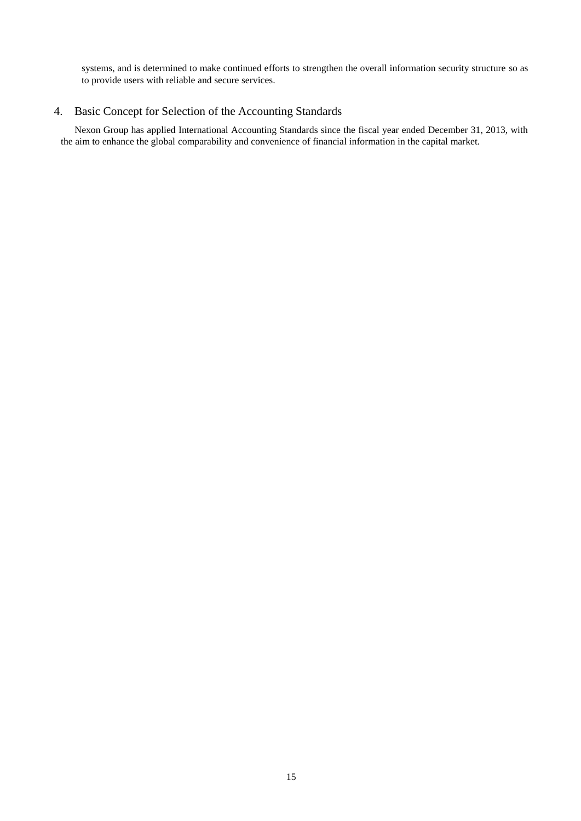systems, and is determined to make continued efforts to strengthen the overall information security structure so as to provide users with reliable and secure services.

# <span id="page-14-0"></span>4. Basic Concept for Selection of the Accounting Standards

Nexon Group has applied International Accounting Standards since the fiscal year ended December 31, 2013, with the aim to enhance the global comparability and convenience of financial information in the capital market.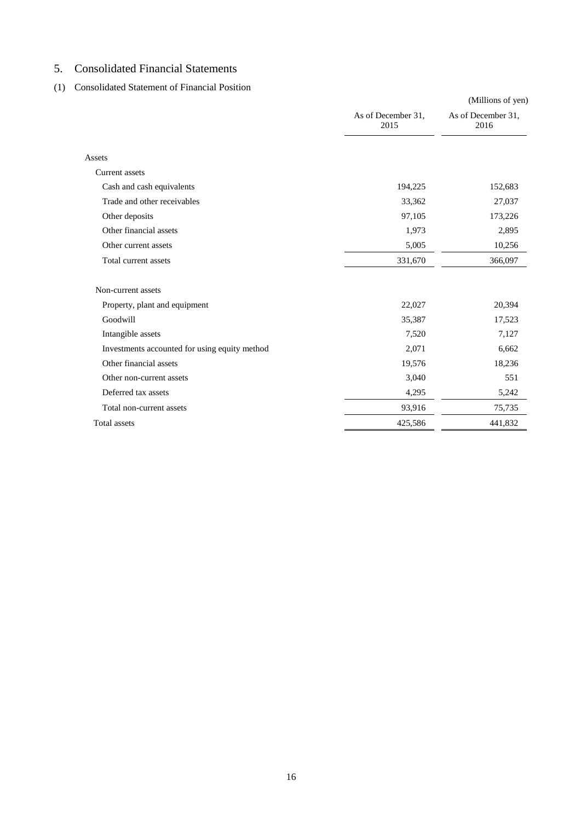# <span id="page-15-0"></span>5. Consolidated Financial Statements

# <span id="page-15-1"></span>(1) Consolidated Statement of Financial Position

|                                               |                            | (Millions of yen)          |
|-----------------------------------------------|----------------------------|----------------------------|
|                                               | As of December 31,<br>2015 | As of December 31,<br>2016 |
| Assets                                        |                            |                            |
| <b>Current assets</b>                         |                            |                            |
| Cash and cash equivalents                     | 194,225                    | 152,683                    |
| Trade and other receivables                   | 33,362                     | 27,037                     |
| Other deposits                                | 97,105                     | 173,226                    |
| Other financial assets                        | 1,973                      | 2,895                      |
| Other current assets                          | 5,005                      | 10,256                     |
| Total current assets                          | 331,670                    | 366,097                    |
| Non-current assets                            |                            |                            |
| Property, plant and equipment                 | 22,027                     | 20,394                     |
| Goodwill                                      | 35,387                     | 17,523                     |
| Intangible assets                             | 7,520                      | 7,127                      |
| Investments accounted for using equity method | 2,071                      | 6,662                      |
| Other financial assets                        | 19,576                     | 18,236                     |
| Other non-current assets                      | 3,040                      | 551                        |
| Deferred tax assets                           | 4,295                      | 5,242                      |
| Total non-current assets                      | 93,916                     | 75,735                     |
| <b>Total</b> assets                           | 425,586                    | 441,832                    |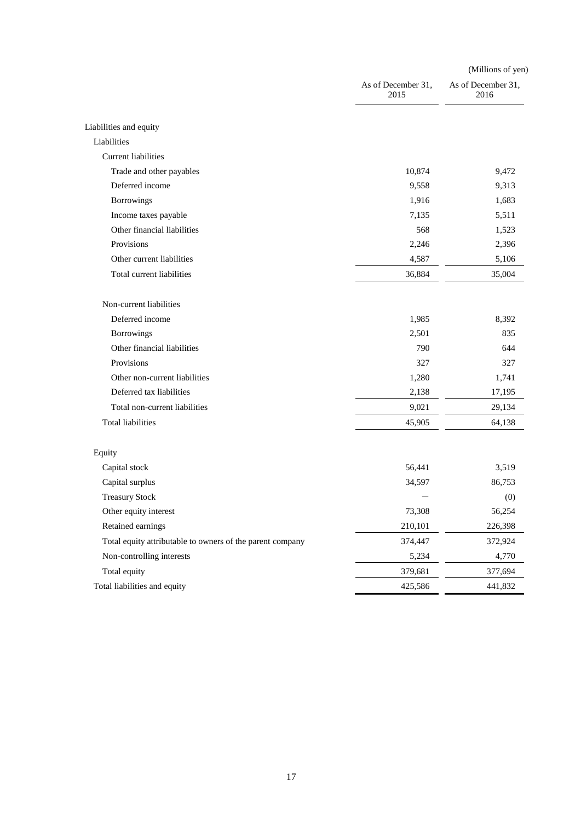|                                                           |                            | (Millions of yen)          |  |  |
|-----------------------------------------------------------|----------------------------|----------------------------|--|--|
|                                                           | As of December 31,<br>2015 | As of December 31,<br>2016 |  |  |
| Liabilities and equity                                    |                            |                            |  |  |
| Liabilities                                               |                            |                            |  |  |
| <b>Current liabilities</b>                                |                            |                            |  |  |
| Trade and other payables                                  | 10,874                     | 9,472                      |  |  |
| Deferred income                                           | 9,558                      | 9,313                      |  |  |
| Borrowings                                                | 1,916                      | 1,683                      |  |  |
| Income taxes payable                                      | 7,135                      | 5,511                      |  |  |
| Other financial liabilities                               | 568                        | 1,523                      |  |  |
| Provisions                                                | 2,246                      | 2,396                      |  |  |
| Other current liabilities                                 | 4,587                      | 5,106                      |  |  |
| Total current liabilities                                 | 36,884                     | 35,004                     |  |  |
| Non-current liabilities                                   |                            |                            |  |  |
| Deferred income                                           | 1,985                      | 8,392                      |  |  |
| Borrowings                                                | 2,501                      | 835                        |  |  |
| Other financial liabilities                               | 790                        | 644                        |  |  |
| Provisions                                                | 327                        | 327                        |  |  |
| Other non-current liabilities                             | 1,280                      | 1,741                      |  |  |
| Deferred tax liabilities                                  | 2,138                      | 17,195                     |  |  |
| Total non-current liabilities                             | 9,021                      | 29,134                     |  |  |
| <b>Total liabilities</b>                                  | 45,905                     | 64,138                     |  |  |
| Equity                                                    |                            |                            |  |  |
| Capital stock                                             | 56,441                     | 3,519                      |  |  |
| Capital surplus                                           | 34,597                     | 86,753                     |  |  |
| <b>Treasury Stock</b>                                     |                            | (0)                        |  |  |
| Other equity interest                                     | 73,308                     | 56,254                     |  |  |
| Retained earnings                                         | 210,101                    | 226,398                    |  |  |
| Total equity attributable to owners of the parent company | 374,447                    | 372,924                    |  |  |
| Non-controlling interests                                 | 5,234                      | 4,770                      |  |  |
| Total equity                                              | 379,681                    | 377,694                    |  |  |
| Total liabilities and equity                              | 425,586                    | 441,832                    |  |  |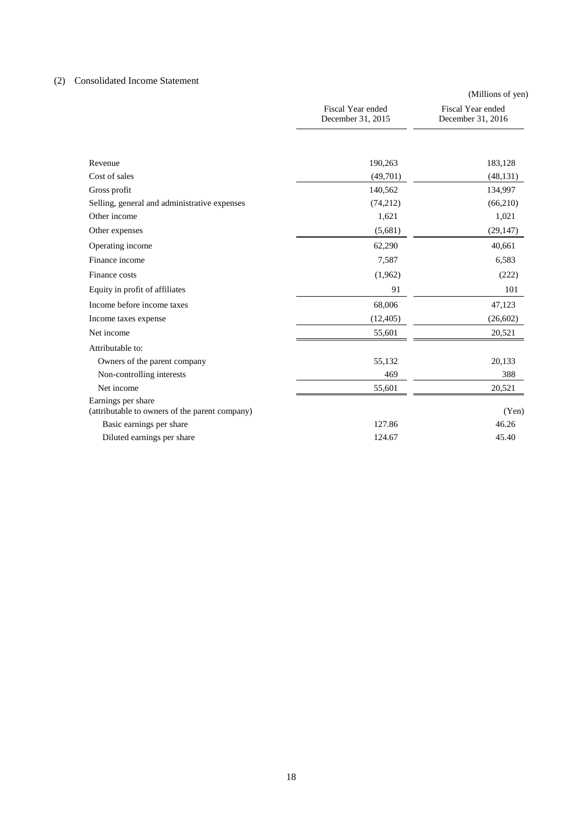# <span id="page-17-0"></span>(2) Consolidated Income Statement

|                                                                      |                                        | (Millions of yen)                      |
|----------------------------------------------------------------------|----------------------------------------|----------------------------------------|
|                                                                      | Fiscal Year ended<br>December 31, 2015 | Fiscal Year ended<br>December 31, 2016 |
|                                                                      |                                        |                                        |
| Revenue                                                              | 190,263                                | 183,128                                |
| Cost of sales                                                        | (49,701)                               | (48, 131)                              |
| Gross profit                                                         | 140,562                                | 134,997                                |
| Selling, general and administrative expenses                         | (74,212)                               | (66,210)                               |
| Other income                                                         | 1,621                                  | 1,021                                  |
| Other expenses                                                       | (5,681)                                | (29, 147)                              |
| Operating income                                                     | 62,290                                 | 40,661                                 |
| Finance income                                                       | 7,587                                  | 6,583                                  |
| Finance costs                                                        | (1,962)                                | (222)                                  |
| Equity in profit of affiliates                                       | 91                                     | 101                                    |
| Income before income taxes                                           | 68,006                                 | 47,123                                 |
| Income taxes expense                                                 | (12, 405)                              | (26, 602)                              |
| Net income                                                           | 55,601                                 | 20,521                                 |
| Attributable to:                                                     |                                        |                                        |
| Owners of the parent company                                         | 55,132                                 | 20,133                                 |
| Non-controlling interests                                            | 469                                    | 388                                    |
| Net income                                                           | 55,601                                 | 20,521                                 |
| Earnings per share<br>(attributable to owners of the parent company) |                                        | (Yen)                                  |
| Basic earnings per share                                             | 127.86                                 | 46.26                                  |
| Diluted earnings per share                                           | 124.67                                 | 45.40                                  |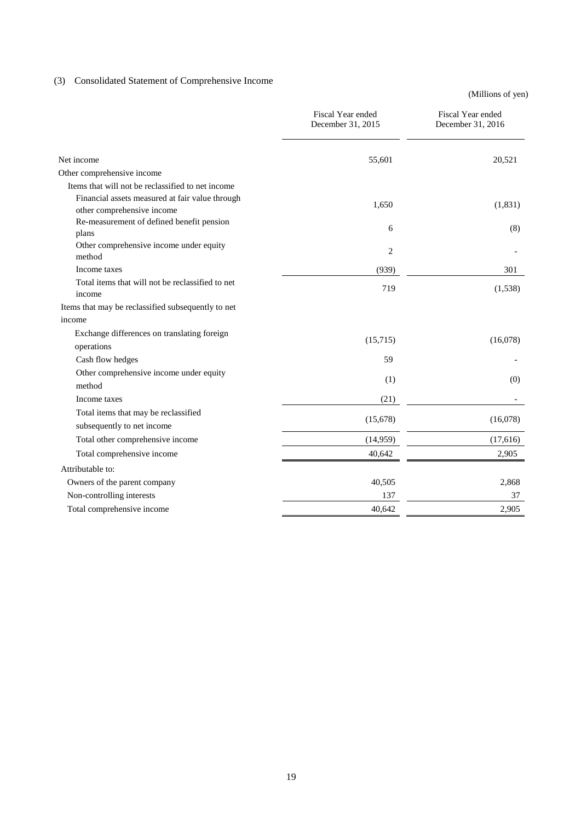# <span id="page-18-0"></span>(3) Consolidated Statement of Comprehensive Income

(Millions of yen)

|                                                                               | Fiscal Year ended<br>December 31, 2015 | Fiscal Year ended<br>December 31, 2016 |
|-------------------------------------------------------------------------------|----------------------------------------|----------------------------------------|
| Net income                                                                    | 55,601                                 | 20,521                                 |
| Other comprehensive income                                                    |                                        |                                        |
| Items that will not be reclassified to net income                             |                                        |                                        |
| Financial assets measured at fair value through<br>other comprehensive income | 1,650                                  | (1,831)                                |
| Re-measurement of defined benefit pension<br>plans                            | 6                                      | (8)                                    |
| Other comprehensive income under equity<br>method                             | 2                                      |                                        |
| Income taxes                                                                  | (939)                                  | 301                                    |
| Total items that will not be reclassified to net<br>income                    | 719                                    | (1,538)                                |
| Items that may be reclassified subsequently to net                            |                                        |                                        |
| income                                                                        |                                        |                                        |
| Exchange differences on translating foreign<br>operations                     | (15,715)                               | (16,078)                               |
| Cash flow hedges                                                              | 59                                     |                                        |
| Other comprehensive income under equity<br>method                             | (1)                                    | (0)                                    |
| Income taxes                                                                  | (21)                                   |                                        |
| Total items that may be reclassified<br>subsequently to net income            | (15,678)                               | (16,078)                               |
| Total other comprehensive income                                              | (14,959)                               | (17,616)                               |
| Total comprehensive income                                                    | 40,642                                 | 2,905                                  |
| Attributable to:                                                              |                                        |                                        |
| Owners of the parent company                                                  | 40,505                                 | 2,868                                  |
| Non-controlling interests                                                     | 137                                    | 37                                     |
| Total comprehensive income                                                    | 40,642                                 | 2,905                                  |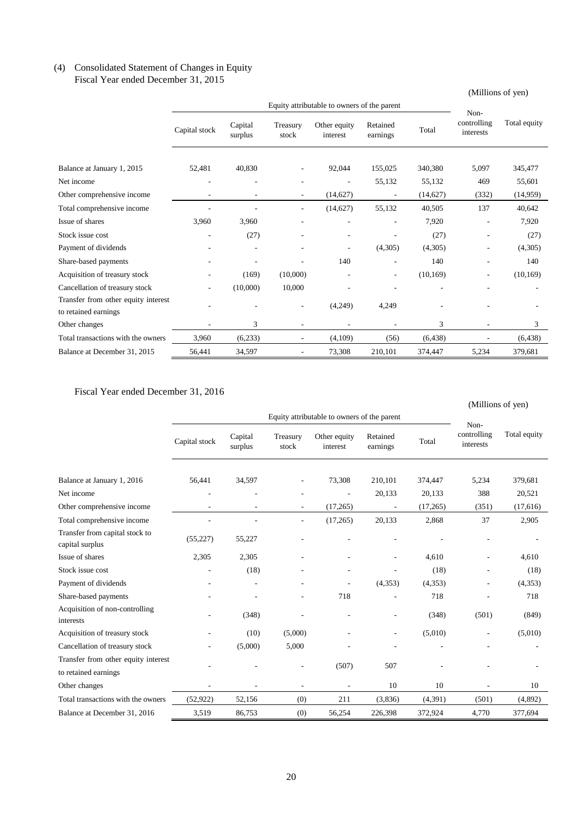## <span id="page-19-0"></span>(4) Consolidated Statement of Changes in Equity Fiscal Year ended December 31, 2015

# (Millions of yen)

|                                                             |               | Non-               |                          |                          |                      |           |                          |              |
|-------------------------------------------------------------|---------------|--------------------|--------------------------|--------------------------|----------------------|-----------|--------------------------|--------------|
|                                                             | Capital stock | Capital<br>surplus | Treasury<br>stock        | Other equity<br>interest | Retained<br>earnings | Total     | controlling<br>interests | Total equity |
| Balance at January 1, 2015                                  | 52,481        | 40,830             |                          | 92,044                   | 155,025              | 340,380   | 5,097                    | 345,477      |
| Net income                                                  | ٠             |                    |                          |                          | 55,132               | 55,132    | 469                      | 55,601       |
| Other comprehensive income                                  |               |                    |                          | (14,627)                 |                      | (14, 627) | (332)                    | (14, 959)    |
| Total comprehensive income                                  |               |                    |                          | (14,627)                 | 55,132               | 40,505    | 137                      | 40,642       |
| Issue of shares                                             | 3,960         | 3,960              |                          |                          | ٠                    | 7,920     |                          | 7,920        |
| Stock issue cost                                            | ٠             | (27)               |                          | ٠                        |                      | (27)      |                          | (27)         |
| Payment of dividends                                        |               |                    |                          | ٠                        | (4,305)              | (4,305)   |                          | (4,305)      |
| Share-based payments                                        |               |                    |                          | 140                      | ٠                    | 140       | ٠                        | 140          |
| Acquisition of treasury stock                               |               | (169)              | (10,000)                 |                          |                      | (10, 169) | $\overline{a}$           | (10, 169)    |
| Cancellation of treasury stock                              |               | (10,000)           | 10,000                   |                          |                      |           |                          |              |
| Transfer from other equity interest<br>to retained earnings |               |                    |                          | (4,249)                  | 4,249                |           |                          |              |
| Other changes                                               |               | 3                  |                          |                          |                      | 3         |                          | 3            |
| Total transactions with the owners                          | 3,960         | (6,233)            | $\overline{\phantom{a}}$ | (4,109)                  | (56)                 | (6, 438)  |                          | (6, 438)     |
| Balance at December 31, 2015                                | 56,441        | 34,597             |                          | 73,308                   | 210,101              | 374,447   | 5,234                    | 379,681      |

Fiscal Year ended December 31, 2016

|                                                   |               | (Millions of yen)        |                          |                                             |                      |          |                          |              |
|---------------------------------------------------|---------------|--------------------------|--------------------------|---------------------------------------------|----------------------|----------|--------------------------|--------------|
|                                                   |               |                          |                          | Equity attributable to owners of the parent |                      |          | Non-                     |              |
|                                                   | Capital stock | Capital<br>surplus       | Treasury<br>stock        | Other equity<br>interest                    | Retained<br>earnings | Total    | controlling<br>interests | Total equity |
| Balance at January 1, 2016                        | 56,441        | 34,597                   |                          | 73,308                                      | 210,101              | 374,447  | 5,234                    | 379,681      |
| Net income                                        | ٠             |                          |                          |                                             | 20,133               | 20,133   | 388                      | 20,521       |
| Other comprehensive income                        |               |                          |                          | (17,265)                                    |                      | (17,265) | (351)                    | (17, 616)    |
| Total comprehensive income                        |               | ä,                       | $\overline{\phantom{a}}$ | (17,265)                                    | 20,133               | 2,868    | 37                       | 2,905        |
| Transfer from capital stock to<br>capital surplus | (55, 227)     | 55,227                   |                          |                                             |                      |          |                          |              |
| Issue of shares                                   | 2,305         | 2,305                    |                          |                                             | L,                   | 4,610    |                          | 4,610        |
| Stock issue cost                                  | ٠             | (18)                     |                          | ٠                                           |                      | (18)     | ٠                        | (18)         |
| Payment of dividends                              |               |                          |                          |                                             | (4,353)              | (4,353)  | ٠                        | (4,353)      |
| Share-based payments                              |               | Ē,                       |                          | 718                                         |                      | 718      |                          | 718          |
| Acquisition of non-controlling<br>interests       |               | (348)                    |                          |                                             |                      | (348)    | (501)                    | (849)        |
| Acquisition of treasury stock                     |               | (10)                     | (5,000)                  |                                             | L,                   | (5,010)  | $\overline{\phantom{a}}$ | (5,010)      |
| Cancellation of treasury stock                    |               | (5,000)                  | 5,000                    |                                             |                      |          |                          |              |
| Transfer from other equity interest               |               |                          |                          |                                             |                      |          |                          |              |
| to retained earnings                              |               |                          |                          | (507)                                       | 507                  |          |                          |              |
| Other changes                                     | ٠             | $\overline{\phantom{0}}$ | $\overline{a}$           | $\overline{a}$                              | 10                   | 10       |                          | 10           |
| Total transactions with the owners                | (52, 922)     | 52,156                   | (0)                      | 211                                         | (3,836)              | (4, 391) | (501)                    | (4,892)      |
| Balance at December 31, 2016                      | 3,519         | 86,753                   | (0)                      | 56,254                                      | 226,398              | 372,924  | 4,770                    | 377,694      |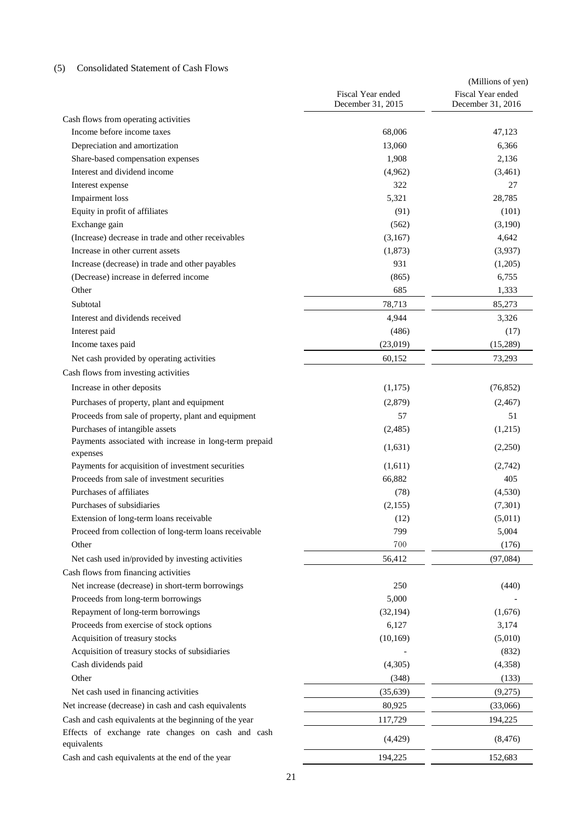# <span id="page-20-0"></span>(5) Consolidated Statement of Cash Flows

|                                                                                           | Fiscal Year ended<br>December 31, 2015 | (Millions of yen)<br>Fiscal Year ended<br>December 31, 2016 |
|-------------------------------------------------------------------------------------------|----------------------------------------|-------------------------------------------------------------|
|                                                                                           |                                        |                                                             |
| Cash flows from operating activities<br>Income before income taxes                        | 68,006                                 | 47,123                                                      |
| Depreciation and amortization                                                             | 13,060                                 | 6,366                                                       |
|                                                                                           | 1,908                                  | 2,136                                                       |
| Share-based compensation expenses<br>Interest and dividend income                         |                                        |                                                             |
|                                                                                           | (4,962)<br>322                         | (3,461)<br>27                                               |
| Interest expense                                                                          | 5,321                                  | 28,785                                                      |
| <b>Impairment</b> loss<br>Equity in profit of affiliates                                  |                                        |                                                             |
|                                                                                           | (91)                                   | (101)                                                       |
| Exchange gain<br>(Increase) decrease in trade and other receivables                       | (562)                                  | (3,190)                                                     |
| Increase in other current assets                                                          | (3,167)                                | 4,642                                                       |
|                                                                                           | (1,873)                                | (3,937)                                                     |
| Increase (decrease) in trade and other payables<br>(Decrease) increase in deferred income | 931                                    | (1,205)                                                     |
| Other                                                                                     | (865)<br>685                           | 6,755                                                       |
|                                                                                           |                                        | 1,333                                                       |
| Subtotal                                                                                  | 78,713                                 | 85,273                                                      |
| Interest and dividends received                                                           | 4,944                                  | 3,326                                                       |
| Interest paid                                                                             | (486)                                  | (17)                                                        |
| Income taxes paid                                                                         | (23,019)                               | (15,289)                                                    |
| Net cash provided by operating activities                                                 | 60,152                                 | 73,293                                                      |
| Cash flows from investing activities                                                      |                                        |                                                             |
| Increase in other deposits                                                                | (1,175)                                | (76, 852)                                                   |
| Purchases of property, plant and equipment                                                | (2,879)                                | (2,467)                                                     |
| Proceeds from sale of property, plant and equipment                                       | 57                                     | 51                                                          |
| Purchases of intangible assets                                                            | (2,485)                                | (1,215)                                                     |
| Payments associated with increase in long-term prepaid                                    | (1,631)                                | (2,250)                                                     |
| expenses                                                                                  |                                        |                                                             |
| Payments for acquisition of investment securities                                         | (1,611)                                | (2,742)                                                     |
| Proceeds from sale of investment securities                                               | 66,882                                 | 405                                                         |
| Purchases of affiliates                                                                   | (78)                                   | (4,530)                                                     |
| Purchases of subsidiaries                                                                 | (2,155)                                | (7, 301)                                                    |
| Extension of long-term loans receivable                                                   | (12)                                   | (5,011)                                                     |
| Proceed from collection of long-term loans receivable                                     | 799                                    | 5,004                                                       |
| Other                                                                                     | 700                                    | (176)                                                       |
| Net cash used in/provided by investing activities                                         | 56,412                                 | (97, 084)                                                   |
| Cash flows from financing activities                                                      |                                        |                                                             |
| Net increase (decrease) in short-term borrowings                                          | 250                                    | (440)                                                       |
| Proceeds from long-term borrowings                                                        | 5,000                                  |                                                             |
| Repayment of long-term borrowings                                                         | (32, 194)                              | (1,676)                                                     |
| Proceeds from exercise of stock options                                                   | 6,127                                  | 3,174                                                       |
| Acquisition of treasury stocks                                                            | (10, 169)                              | (5,010)                                                     |
| Acquisition of treasury stocks of subsidiaries                                            |                                        | (832)                                                       |
| Cash dividends paid                                                                       | (4,305)                                | (4,358)                                                     |
| Other                                                                                     | (348)                                  | (133)                                                       |
| Net cash used in financing activities                                                     | (35, 639)                              | (9,275)                                                     |
| Net increase (decrease) in cash and cash equivalents                                      | 80,925                                 | (33,066)                                                    |
| Cash and cash equivalents at the beginning of the year                                    | 117,729                                | 194,225                                                     |
| Effects of exchange rate changes on cash and cash<br>equivalents                          | (4, 429)                               | (8, 476)                                                    |
| Cash and cash equivalents at the end of the year                                          | 194,225                                | 152,683                                                     |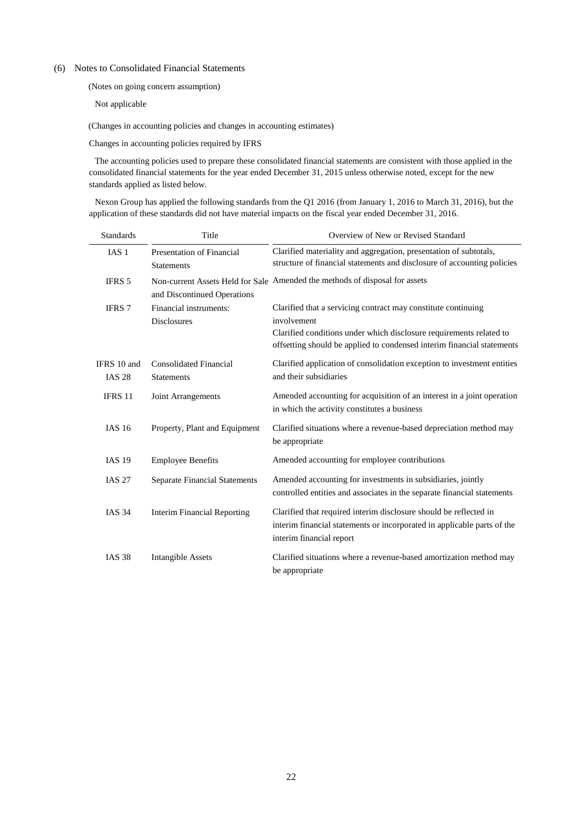### <span id="page-21-1"></span><span id="page-21-0"></span>(6) Notes to Consolidated Financial Statements

(Notes on going concern assumption)

Not applicable

<span id="page-21-2"></span>(Changes in accounting policies and changes in accounting estimates)

Changes in accounting policies required by IFRS

The accounting policies used to prepare these consolidated financial statements are consistent with those applied in the consolidated financial statements for the year ended December 31, 2015 unless otherwise noted, except for the new standards applied as listed below.

Nexon Group has applied the following standards from the Q1 2016 (from January 1, 2016 to March 31, 2016), but the application of these standards did not have material impacts on the fiscal year ended December 31, 2016.

| <b>Standards</b>             | Title                                              | Overview of New or Revised Standard                                                                                                                                                                                           |
|------------------------------|----------------------------------------------------|-------------------------------------------------------------------------------------------------------------------------------------------------------------------------------------------------------------------------------|
| <b>IAS1</b>                  | Presentation of Financial<br><b>Statements</b>     | Clarified materiality and aggregation, presentation of subtotals,<br>structure of financial statements and disclosure of accounting policies                                                                                  |
| <b>IFRS 5</b>                | and Discontinued Operations                        | Non-current Assets Held for Sale Amended the methods of disposal for assets                                                                                                                                                   |
| <b>IFRS</b> 7                | Financial instruments:<br><b>Disclosures</b>       | Clarified that a servicing contract may constitute continuing<br>involvement<br>Clarified conditions under which disclosure requirements related to<br>offsetting should be applied to condensed interim financial statements |
| IFRS 10 and<br><b>IAS 28</b> | <b>Consolidated Financial</b><br><b>Statements</b> | Clarified application of consolidation exception to investment entities<br>and their subsidiaries                                                                                                                             |
| IFRS 11                      | Joint Arrangements                                 | Amended accounting for acquisition of an interest in a joint operation<br>in which the activity constitutes a business                                                                                                        |
| IAS 16                       | Property, Plant and Equipment                      | Clarified situations where a revenue-based depreciation method may<br>be appropriate                                                                                                                                          |
| <b>IAS 19</b>                | <b>Employee Benefits</b>                           | Amended accounting for employee contributions                                                                                                                                                                                 |
| <b>IAS 27</b>                | <b>Separate Financial Statements</b>               | Amended accounting for investments in subsidiaries, jointly<br>controlled entities and associates in the separate financial statements                                                                                        |
| <b>IAS 34</b>                | <b>Interim Financial Reporting</b>                 | Clarified that required interim disclosure should be reflected in<br>interim financial statements or incorporated in applicable parts of the<br>interim financial report                                                      |
| <b>IAS 38</b>                | <b>Intangible Assets</b>                           | Clarified situations where a revenue-based amortization method may<br>be appropriate                                                                                                                                          |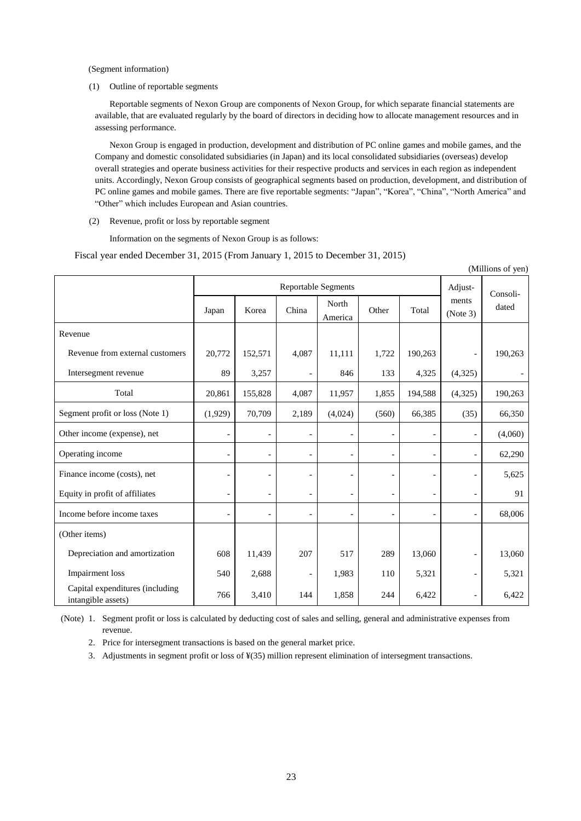<span id="page-22-0"></span>(Segment information)

(1) Outline of reportable segments

Reportable segments of Nexon Group are components of Nexon Group, for which separate financial statements are available, that are evaluated regularly by the board of directors in deciding how to allocate management resources and in assessing performance.

Nexon Group is engaged in production, development and distribution of PC online games and mobile games, and the Company and domestic consolidated subsidiaries (in Japan) and its local consolidated subsidiaries (overseas) develop overall strategies and operate business activities for their respective products and services in each region as independent units. Accordingly, Nexon Group consists of geographical segments based on production, development, and distribution of PC online games and mobile games. There are five reportable segments: "Japan", "Korea", "China", "North America" and "Other" which includes European and Asian countries.

(2) Revenue, profit or loss by reportable segment

Information on the segments of Nexon Group is as follows:

Fiscal year ended December 31, 2015 (From January 1, 2015 to December 31, 2015)

| (Millions of yen)                                     |                |                          |                          |                  |                          |                          |                          |         |
|-------------------------------------------------------|----------------|--------------------------|--------------------------|------------------|--------------------------|--------------------------|--------------------------|---------|
|                                                       |                |                          |                          | Adjust-          | Consoli-                 |                          |                          |         |
|                                                       | Japan          | Korea                    | China                    | North<br>America | Other                    | Total                    | ments<br>(Note 3)        | dated   |
| Revenue                                               |                |                          |                          |                  |                          |                          |                          |         |
| Revenue from external customers                       | 20,772         | 152,571                  | 4,087                    | 11,111           | 1,722                    | 190,263                  |                          | 190,263 |
| Intersegment revenue                                  | 89             | 3,257                    | $\overline{a}$           | 846              | 133                      | 4,325                    | (4,325)                  |         |
| Total                                                 | 20,861         | 155,828                  | 4,087                    | 11,957           | 1,855                    | 194,588                  | (4,325)                  | 190,263 |
| Segment profit or loss (Note 1)                       | (1,929)        | 70,709                   | 2,189                    | (4,024)          | (560)                    | 66,385                   | (35)                     | 66,350  |
| Other income (expense), net                           | $\overline{a}$ | $\overline{\phantom{0}}$ | $\overline{\phantom{a}}$ |                  | $\overline{\phantom{a}}$ |                          | $\overline{\phantom{a}}$ | (4,060) |
| Operating income                                      | $\overline{a}$ | $\overline{\phantom{0}}$ | $\overline{a}$           |                  | $\overline{\phantom{a}}$ |                          | $\overline{\phantom{a}}$ | 62,290  |
| Finance income (costs), net                           |                |                          | $\overline{\phantom{0}}$ |                  |                          |                          | $\overline{a}$           | 5,625   |
| Equity in profit of affiliates                        | $\overline{a}$ | $\overline{\phantom{a}}$ | $\overline{\phantom{a}}$ | $\overline{a}$   | $\overline{\phantom{a}}$ | $\overline{\phantom{a}}$ | $\overline{\phantom{a}}$ | 91      |
| Income before income taxes                            |                |                          | $\overline{a}$           |                  |                          |                          | $\overline{\phantom{a}}$ | 68,006  |
| (Other items)                                         |                |                          |                          |                  |                          |                          |                          |         |
| Depreciation and amortization                         | 608            | 11,439                   | 207                      | 517              | 289                      | 13,060                   | $\overline{\phantom{a}}$ | 13,060  |
| Impairment loss                                       | 540            | 2,688                    | $\overline{a}$           | 1,983            | 110                      | 5,321                    | $\overline{\phantom{0}}$ | 5,321   |
| Capital expenditures (including<br>intangible assets) | 766            | 3,410                    | 144                      | 1,858            | 244                      | 6,422                    | $\overline{\phantom{a}}$ | 6,422   |

(Note) 1. Segment profit or loss is calculated by deducting cost of sales and selling, general and administrative expenses from revenue.

2. Price for intersegment transactions is based on the general market price.

3. Adjustments in segment profit or loss of ¥(35) million represent elimination of intersegment transactions.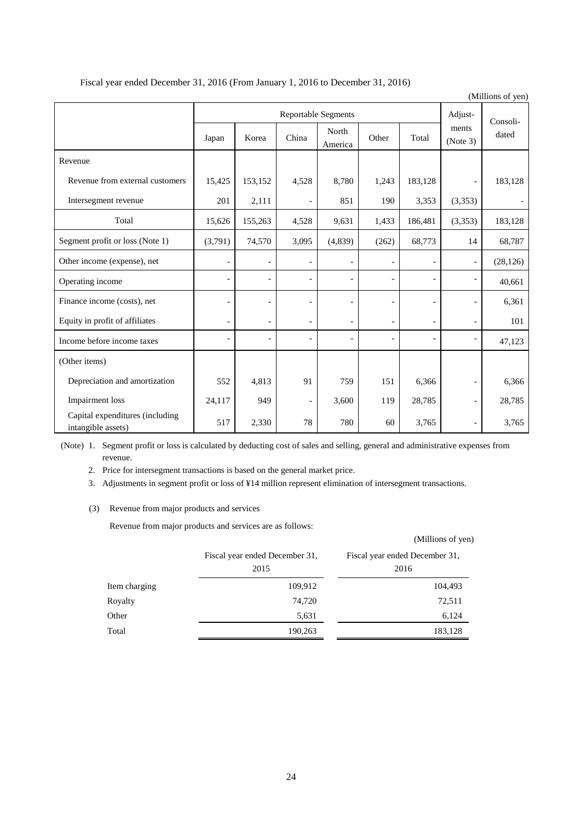|                                                       |                          |                |                          |                  |                          |                          |                          | (Millions of yen) |
|-------------------------------------------------------|--------------------------|----------------|--------------------------|------------------|--------------------------|--------------------------|--------------------------|-------------------|
|                                                       |                          |                | Adjust-                  | Consoli-         |                          |                          |                          |                   |
|                                                       | Japan                    | Korea          | China                    | North<br>America | Other                    | Total                    | ments<br>(Note 3)        | dated             |
| Revenue                                               |                          |                |                          |                  |                          |                          |                          |                   |
| Revenue from external customers                       | 15,425                   | 153,152        | 4,528                    | 8,780            | 1,243                    | 183,128                  | $\overline{a}$           | 183,128           |
| Intersegment revenue                                  | 201                      | 2,111          | $\overline{\phantom{a}}$ | 851              | 190                      | 3,353                    | (3,353)                  |                   |
| Total                                                 | 15,626                   | 155,263        | 4,528                    | 9,631            | 1,433                    | 186,481                  | (3,353)                  | 183,128           |
| Segment profit or loss (Note 1)                       | (3,791)                  | 74,570         | 3,095                    | (4, 839)         | (262)                    | 68,773                   | 14                       | 68,787            |
| Other income (expense), net                           | $\overline{a}$           |                | $\overline{\phantom{a}}$ |                  | $\overline{\phantom{0}}$ |                          | $\overline{\phantom{a}}$ | (28, 126)         |
| Operating income                                      | $\overline{\phantom{a}}$ | $\blacksquare$ | $\overline{\phantom{a}}$ |                  | $\overline{\phantom{a}}$ |                          | $\overline{\phantom{a}}$ | 40,661            |
| Finance income (costs), net                           |                          |                | $\overline{\phantom{a}}$ |                  |                          |                          | $\overline{\phantom{a}}$ | 6,361             |
| Equity in profit of affiliates                        | $\overline{a}$           | $\blacksquare$ | $\overline{\phantom{a}}$ | $\overline{a}$   | $\overline{\phantom{a}}$ | $\overline{\phantom{a}}$ | $\overline{\phantom{a}}$ | 101               |
| Income before income taxes                            | $\overline{a}$           |                | $\overline{\phantom{a}}$ |                  | $\overline{\phantom{a}}$ |                          | $\overline{\phantom{a}}$ | 47,123            |
| (Other items)                                         |                          |                |                          |                  |                          |                          |                          |                   |
| Depreciation and amortization                         | 552                      | 4,813          | 91                       | 759              | 151                      | 6,366                    | $\overline{\phantom{a}}$ | 6,366             |
| Impairment loss                                       | 24,117                   | 949            | $\overline{\phantom{a}}$ | 3,600            | 119                      | 28,785                   | $\overline{\phantom{a}}$ | 28,785            |
| Capital expenditures (including<br>intangible assets) | 517                      | 2,330          | 78                       | 780              | 60                       | 3,765                    | $\overline{\phantom{a}}$ | 3,765             |

# Fiscal year ended December 31, 2016 (From January 1, 2016 to December 31, 2016)

(Note) 1. Segment profit or loss is calculated by deducting cost of sales and selling, general and administrative expenses from revenue.

2. Price for intersegment transactions is based on the general market price.

3. Adjustments in segment profit or loss of ¥14 million represent elimination of intersegment transactions.

## (3) Revenue from major products and services

Revenue from major products and services are as follows:

|               | Revenue from major products and services are as follows. |                                        |
|---------------|----------------------------------------------------------|----------------------------------------|
|               |                                                          | (Millions of yen)                      |
|               | Fiscal year ended December 31,<br>2015                   | Fiscal year ended December 31,<br>2016 |
| Item charging | 109,912                                                  | 104,493                                |
| Royalty       | 74,720                                                   | 72,511                                 |
| Other         | 5,631                                                    | 6,124                                  |
| Total         | 190,263                                                  | 183,128                                |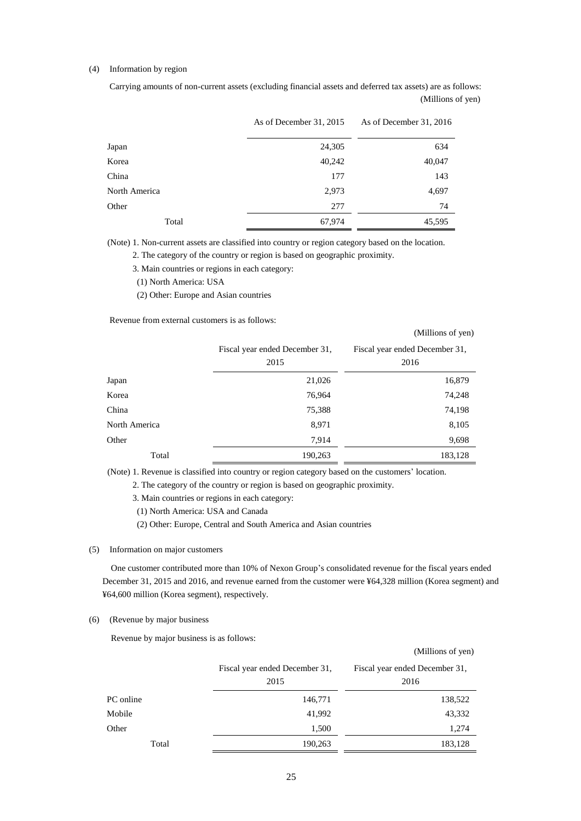## (4) Information by region

Carrying amounts of non-current assets (excluding financial assets and deferred tax assets) are as follows: (Millions of yen)

|               | As of December 31, 2015 | As of December 31, 2016 |
|---------------|-------------------------|-------------------------|
| Japan         | 24,305                  | 634                     |
| Korea         | 40,242                  | 40,047                  |
| China         | 177                     | 143                     |
| North America | 2,973                   | 4,697                   |
| Other         | 277                     | 74                      |
| Total         | 67,974                  | 45,595                  |

(Note) 1. Non-current assets are classified into country or region category based on the location.

2. The category of the country or region is based on geographic proximity.

3. Main countries or regions in each category:

(1) North America: USA

(2) Other: Europe and Asian countries

Revenue from external customers is as follows:

|                                        | $\overline{1}$ $\overline{1}$          |
|----------------------------------------|----------------------------------------|
| Fiscal year ended December 31,<br>2015 | Fiscal year ended December 31,<br>2016 |
| 21,026                                 | 16,879                                 |
| 76,964                                 | 74,248                                 |
| 75,388                                 | 74,198                                 |
| 8,971                                  | 8,105                                  |
| 7,914                                  | 9,698                                  |
| 190,263                                | 183,128                                |
|                                        |                                        |

(Millions of yen)

(Note) 1. Revenue is classified into country or region category based on the customers' location.

2. The category of the country or region is based on geographic proximity.

3. Main countries or regions in each category:

(1) North America: USA and Canada

(2) Other: Europe, Central and South America and Asian countries

#### (5) Information on major customers

One customer contributed more than 10% of Nexon Group's consolidated revenue for the fiscal years ended December 31, 2015 and 2016, and revenue earned from the customer were ¥64,328 million (Korea segment) and ¥64,600 million (Korea segment), respectively.

### (6) (Revenue by major business

Revenue by major business is as follows:

|           |                                        | (Millions of yen)                      |
|-----------|----------------------------------------|----------------------------------------|
|           | Fiscal year ended December 31,<br>2015 | Fiscal year ended December 31,<br>2016 |
| PC online | 146,771                                | 138,522                                |
| Mobile    | 41,992                                 | 43,332                                 |
| Other     | 1,500                                  | 1,274                                  |
| Total     | 190,263                                | 183,128                                |